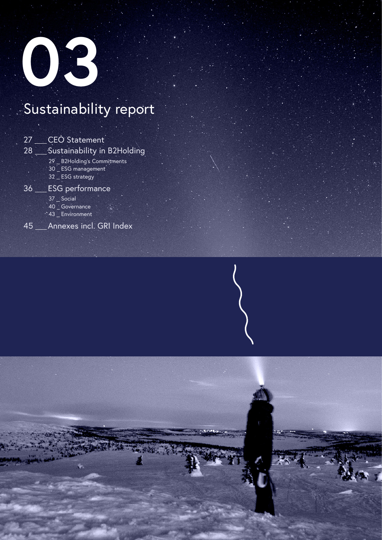

## Sustainability report

| 27 | <b>CEO</b> Statement                                                     |
|----|--------------------------------------------------------------------------|
| 28 | Sustainability in B2Holding                                              |
|    | 29 _ B2Holding's Commitments<br>30 _ ESG management<br>32 _ ESG strategy |
| 36 | <b>ESG</b> performance                                                   |
|    | 37 _ Social<br>40 Governance<br>$\cdot$ 43 _ Environment                 |
| 46 | Annexes incl. GRI Index                                                  |

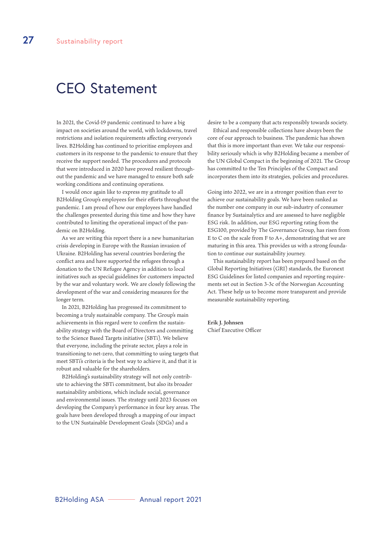### CEO Statement

In 2021, the Covid-19 pandemic continued to have a big impact on societies around the world, with lockdowns, travel restrictions and isolation requirements affecting everyone's lives. B2Holding has continued to prioritise employees and customers in its response to the pandemic to ensure that they receive the support needed. The procedures and protocols that were introduced in 2020 have proved resilient throughout the pandemic and we have managed to ensure both safe working conditions and continuing operations.

I would once again like to express my gratitude to all B2Holding Group's employees for their efforts throughout the pandemic. I am proud of how our employees have handled the challenges presented during this time and how they have contributed to limiting the operational impact of the pandemic on B2Holding.

As we are writing this report there is a new humanitarian crisis developing in Europe with the Russian invasion of Ukraine. B2Holding has several countries bordering the conflict area and have supported the refugees through a donation to the UN Refugee Agency in addition to local initiatives such as special guidelines for customers impacted by the war and voluntary work. We are closely following the development of the war and considering measures for the longer term.

In 2021, B2Holding has progressed its commitment to becoming a truly sustainable company. The Group's main achievements in this regard were to confirm the sustainability strategy with the Board of Directors and committing to the Science Based Targets initiative (SBTi). We believe that everyone, including the private sector, plays a role in transitioning to net-zero, that committing to using targets that meet SBTi's criteria is the best way to achieve it, and that it is robust and valuable for the shareholders.

B2Holding's sustainability strategy will not only contribute to achieving the SBTi commitment, but also its broader sustainability ambitions, which include social, governance and environmental issues. The strategy until 2023 focuses on developing the Company's performance in four key areas. The goals have been developed through a mapping of our impact to the UN Sustainable Development Goals (SDGs) and a

desire to be a company that acts responsibly towards society.

Ethical and responsible collections have always been the core of our approach to business. The pandemic has shown that this is more important than ever. We take our responsibility seriously which is why B2Holding became a member of the UN Global Compact in the beginning of 2021. The Group has committed to the Ten Principles of the Compact and incorporates them into its strategies, policies and procedures.

Going into 2022, we are in a stronger position than ever to achieve our sustainability goals. We have been ranked as the number one company in our sub-industry of consumer finance by Sustainalytics and are assessed to have negligible ESG risk. In addition, our ESG reporting rating from the ESG100, provided by The Governance Group, has risen from E to C on the scale from F to A+, demonstrating that we are maturing in this area. This provides us with a strong foundation to continue our sustainability journey.

This sustainability report has been prepared based on the Global Reporting Initiatives (GRI) standards, the Euronext ESG Guidelines for listed companies and reporting requirements set out in Section 3-3c of the Norwegian Accounting Act. These help us to become more transparent and provide measurable sustainability reporting.

**Erik J. Johnsen** Chief Executive Officer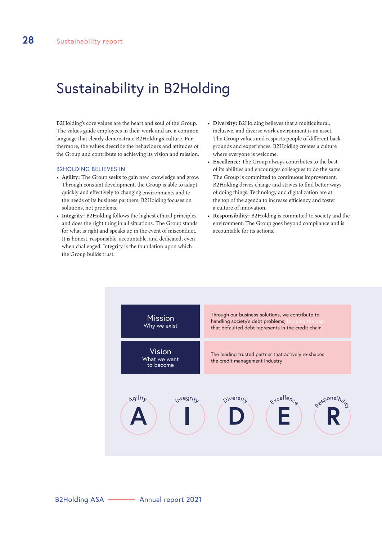## Sustainability in B2Holding

B2Holding's core values are the heart and soul of the Group. The values guide employees in their work and are a common language that clearly demonstrate B2Holding's culture. Furthermore, the values describe the behaviours and attitudes of the Group and contribute to achieving its vision and mission.

#### B2HOLDING BELIEVES IN

- **Agility:** The Group seeks to gain new knowledge and grow. Through constant development, the Group is able to adapt quickly and effectively to changing environments and to the needs of its business partners. B2Holding focuses on solutions, not problems.
- **Integrity:** B2Holding follows the highest ethical principles and does the right thing in all situations. The Group stands for what is right and speaks up in the event of misconduct. It is honest, responsible, accountable, and dedicated, even when challenged. Integrity is the foundation upon which the Group builds trust.
- **Diversity:** B2Holding believes that a multicultural, inclusive, and diverse work environment is an asset. The Group values and respects people of different backgrounds and experiences. B2Holding creates a culture where everyone is welcome.
- **Excellence:** The Group always contributes to the best of its abilities and encourages colleagues to do the same. The Group is committed to continuous improvement. B2Holding drives change and strives to find better ways of doing things. Technology and digitalization are at the top of the agenda to increase efficiency and foster a culture of innovation.
- **Responsibility:** B2Holding is committed to society and the environment. The Group goes beyond compliance and is accountable for its actions.

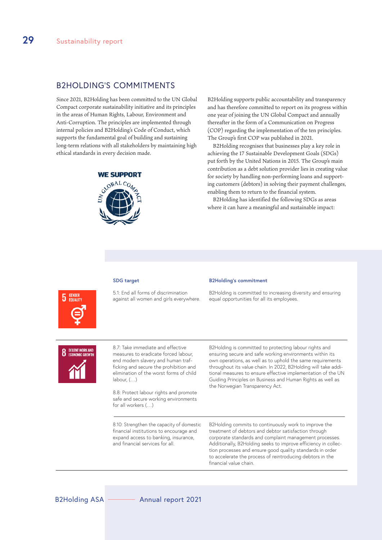#### B2HOLDING'S COMMITMENTS

Since 2021, B2Holding has been committed to the UN Global Compact corporate sustainability initiative and its principles in the areas of Human Rights, Labour, Environment and Anti-Corruption. The principles are implemented through internal policies and B2Holding's Code of Conduct, which supports the fundamental goal of building and sustaining long-term relations with all stakeholders by maintaining high ethical standards in every decision made.

#### **WE SUPPORT**



B2Holding supports public accountability and transparency and has therefore committed to report on its progress within one year of joining the UN Global Compact and annually thereafter in the form of a Communication on Progress (COP) regarding the implementation of the ten principles. The Group's first COP was published in 2021.

B2Holding recognises that businesses play a key role in achieving the 17 Sustainable Development Goals (SDGs) put forth by the United Nations in 2015. The Group's main contribution as a debt solution provider lies in creating value for society by handling non-performing loans and supporting customers (debtors) in solving their payment challenges, enabling them to return to the financial system.

B2Holding has identified the following SDGs as areas where it can have a meaningful and sustainable impact:



5.1: End all forms of discrimination against all women and girls everywhere.

#### **SDG target B2Holding's commitment**

B2Holding is committed to increasing diversity and ensuring equal opportunities for all its employees.



8.7: Take immediate and effective measures to eradicate forced labour, end modern slavery and human trafficking and secure the prohibition and elimination of the worst forms of child labour, (…)

8.8: Protect labour rights and promote safe and secure working environments for all workers (…)

B2Holding is committed to protecting labour rights and ensuring secure and safe working environments within its own operations, as well as to uphold the same requirements throughout its value chain. In 2022, B2Holding will take additional measures to ensure effective implementation of the UN Guiding Principles on Business and Human Rights as well as the Norwegian Transparency Act.

8.10: Strengthen the capacity of domestic financial institutions to encourage and expand access to banking, insurance, and financial services for all.

B2Holding commits to continuously work to improve the treatment of debtors and debtor satisfaction through corporate standards and complaint management processes. Additionally, B2Holding seeks to improve efficiency in collection processes and ensure good quality standards in order to accelerate the process of reintroducing debtors in the financial value chain.

**B2Holding ASA**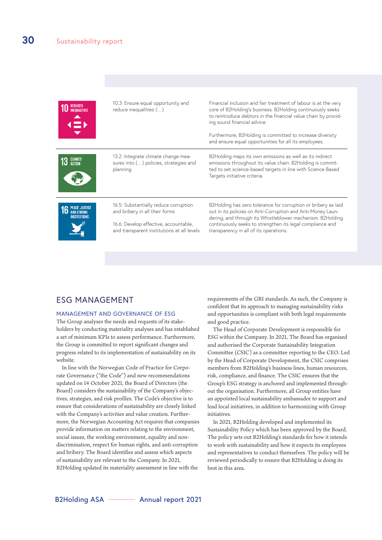| $\overline{E}$ | 10.3: Ensure equal opportunity and<br>reduce inequalities ()                                                                                                   | Financial inclusion and fair treatment of labour is at the very<br>core of B2Holding's business. B2Holding continuously seeks<br>to reintroduce debtors in the financial value chain by provid-<br>ing sound financial advice.<br>Furthermore, B2Holding is committed to increase diversity<br>and ensure equal opportunities for all its employees. |
|----------------|----------------------------------------------------------------------------------------------------------------------------------------------------------------|------------------------------------------------------------------------------------------------------------------------------------------------------------------------------------------------------------------------------------------------------------------------------------------------------------------------------------------------------|
|                | 13.2: Integrate climate change mea-<br>sures into () policies, strategies and<br>planning                                                                      | B2Holding maps its own emissions as well as its indirect<br>emissions throughout its value chain. B2Holding is commit-<br>ted to set science-based targets in line with Science Based<br>Targets initiative criteria.                                                                                                                                |
|                | 16.5: Substantially reduce corruption<br>and bribery in all their forms<br>16.6: Develop effective, accountable,<br>and transparent institutions at all levels | B2Holding has zero tolerance for corruption or bribery as laid<br>out in its policies on Anti-Corruption and Anti-Money Laun-<br>dering, and through its Whistleblower mechanism. B2Holding<br>continuously seeks to strengthen its legal compliance and<br>transparency in all of its operations.                                                   |

#### ESG MANAGEMENT

#### MANAGEMENT AND GOVERNANCE OF ESG

The Group analyses the needs and requests of its stakeholders by conducting materiality analyses and has established a set of minimum KPIs to assess performance. Furthermore, the Group is committed to report significant changes and progress related to its implementation of sustainability on its website.

In line with the Norwegian Code of Practice for Corporate Governance ("the Code") and new recommendations updated on 14 October 2021, the Board of Directors (the Board) considers the sustainability of the Company's objectives, strategies, and risk profiles. The Code's objective is to ensure that considerations of sustainability are closely linked with the Company's activities and value creation. Furthermore, the Norwegian Accounting Act requires that companies provide information on matters relating to the environment, social issues, the working environment, equality and nondiscrimination, respect for human rights, and anti-corruption and bribery. The Board identifies and assess which aspects of sustainability are relevant to the Company. In 2021, B2Holding updated its materiality assessment in line with the

requirements of the GRI standards. As such, the Company is confident that its approach to managing sustainability risks and opportunities is compliant with both legal requirements and good practice.

The Head of Corporate Development is responsible for ESG within the Company. In 2021, The Board has organised and authorised the Corporate Sustainability Integration Committee (CSIC) as a committee reporting to the CEO. Led by the Head of Corporate Development, the CSIC comprises members from B2Holding's business lines, human resources, risk, compliance, and finance. The CSIC ensures that the Group's ESG strategy is anchored and implemented throughout the organisation. Furthermore, all Group entities have an appointed local sustainability ambassador to support and lead local initiatives, in addition to harmonizing with Group initiatives.

In 2021, B2Holding developed and implemented its Sustainability Policy which has been approved by the Board. The policy sets out B2Holding's standards for how it intends to work with sustainability and how it expects its employees and representatives to conduct themselves. The policy will be reviewed periodically to ensure that B2Holding is doing its best in this area.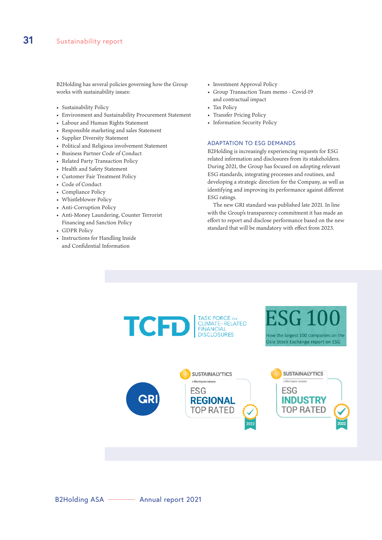B2Holding has several policies governing how the Group works with sustainability issues:

- Sustainability Policy
- Environment and Sustainability Procurement Statement
- Labour and Human Rights Statement
- Responsible marketing and sales Statement
- Supplier Diversity Statement
- Political and Religious involvement Statement
- Business Partner Code of Conduct
- Related Party Transaction Policy
- Health and Safety Statement
- Customer Fair Treatment Policy
- Code of Conduct
- Compliance Policy
- Whistleblower Policy
- Anti-Corruption Policy
- Anti-Money Laundering, Counter Terrorist Financing and Sanction Policy
- GDPR Policy
- Instructions for Handling Inside and Confidential Information
- Investment Approval Policy
- Group Transaction Team memo Covid-19 and contractual impact
- Tax Policy
- Transfer Pricing Policy
- Information Security Policy

#### ADAPTATION TO ESG DEMANDS

B2Holding is increasingly experiencing requests for ESG related information and disclosures from its stakeholders. During 2021, the Group has focused on adopting relevant ESG standards, integrating processes and routines, and developing a strategic direction for the Company, as well as identifying and improving its performance against different ESG ratings.

The new GRI standard was published late 2021. In line with the Group's transparency commitment it has made an effort to report and disclose performance based on the new standard that will be mandatory with effect from 2023.

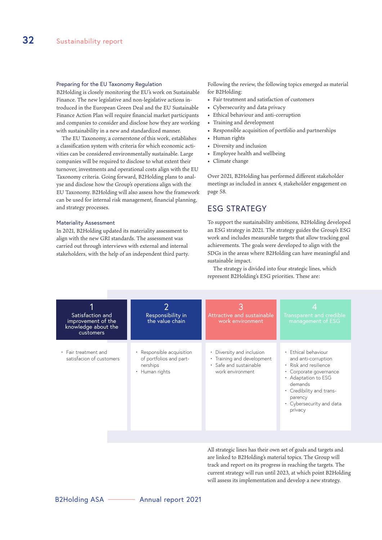#### Preparing for the EU Taxonomy Regulation

B2Holding is closely monitoring the EU's work on Sustainable Finance. The new legislative and non-legislative actions introduced in the European Green Deal and the EU Sustainable Finance Action Plan will require financial market participants and companies to consider and disclose how they are working with sustainability in a new and standardized manner.

The EU Taxonomy, a cornerstone of this work, establishes a classification system with criteria for which economic activities can be considered environmentally sustainable. Large companies will be required to disclose to what extent their turnover, investments and operational costs align with the EU Taxonomy criteria. Going forward, B2Holding plans to analyse and disclose how the Group's operations align with the EU Taxonomy. B2Holding will also assess how the framework can be used for internal risk management, financial planning, and strategy processes.

#### Materiality Assessment

In 2021, B2Holding updated its materiality assessment to align with the new GRI standards. The assessment was carried out through interviews with external and internal stakeholders, with the help of an independent third party. Following the review, the following topics emerged as material for B2Holding:

- Fair treatment and satisfaction of customers
- Cybersecurity and data privacy
- Ethical behaviour and anti-corruption
- Training and development
- Responsible acquisition of portfolio and partnerships
- Human rights
- Diversity and inclusion
- Employee health and wellbeing
- Climate change

Over 2021, B2Holding has performed different stakeholder meetings as included in annex 4, stakeholder engagement on page 58.

#### ESG STRATEGY

To support the sustainability ambitions, B2Holding developed an ESG strategy in 2021. The strategy guides the Group's ESG work and includes measurable targets that allow tracking goal achievements. The goals were developed to align with the SDGs in the areas where B2Holding can have meaningful and sustainable impact.

The strategy is divided into four strategic lines, which represent B2Holding's ESG priorities. These are:

| Satisfaction and<br>improvement of the<br>knowledge about the<br>customers | Responsibility in<br>the value chain                                               | Attractive and sustainable<br>work environment                                                                   | Transparent and credible<br>management of ESG                                                                                                                                                                 |
|----------------------------------------------------------------------------|------------------------------------------------------------------------------------|------------------------------------------------------------------------------------------------------------------|---------------------------------------------------------------------------------------------------------------------------------------------------------------------------------------------------------------|
| • Fair treatment and<br>satisfacion of customers                           | • Responsible acquisition<br>of portfolios and part-<br>nerships<br>• Human rights | Diversity and inclusion<br>$\bullet$<br>• Training and development<br>· Safe and sustainable<br>work environment | • Ethical behaviour<br>and anti-corruption<br>• Risk and resilience<br>• Corporate governance<br>• Adaptation to ESG<br>demands<br>• Credibility and trans-<br>parency<br>• Cybersecurity and data<br>privacy |

All strategic lines has their own set of goals and targets and are linked to B2Holding's material topics. The Group will track and report on its progress in reaching the targets. The current strategy will run until 2023, at which point B2Holding will assess its implementation and develop a new strategy.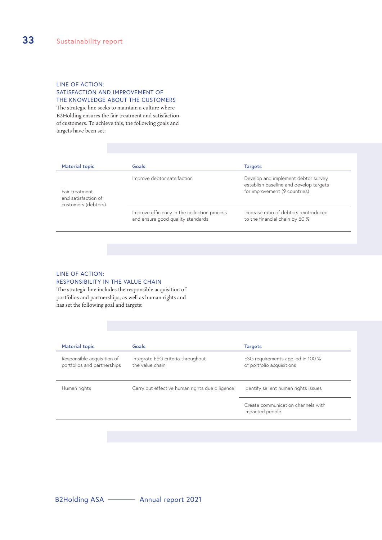#### LINE OF ACTION: SATISFACTION AND IMPROVEMENT OF THE KNOWLEDGE ABOUT THE CUSTOMERS

The strategic line seeks to maintain a culture where B2Holding ensures the fair treatment and satisfaction of customers. To achieve this, the following goals and targets have been set:

| <b>Material topic</b>                                        | Goals                                                                             | <b>Targets</b>                                                                                                  |
|--------------------------------------------------------------|-----------------------------------------------------------------------------------|-----------------------------------------------------------------------------------------------------------------|
| Fair treatment<br>and satisfaction of<br>customers (debtors) | Improve debtor satsifaction                                                       | Develop and implement debtor survey,<br>establish baseline and develop targets<br>for improvement (9 countries) |
|                                                              | Improve efficiency in the collection process<br>and ensure good quality standards | Increase ratio of debtors reintroduced<br>to the financial chain by 50 %                                        |

#### LINE OF ACTION: RESPONSIBILITY IN THE VALUE CHAIN

The strategic line includes the responsible acquisition of portfolios and partnerships, as well as human rights and has set the following goal and targets:

| <b>Material topic</b>                                     | Goals                                                | <b>Targets</b>                                                 |
|-----------------------------------------------------------|------------------------------------------------------|----------------------------------------------------------------|
| Responsible acquisition of<br>portfolios and partnerships | Integrate ESG criteria throughout<br>the value chain | ESG requirements applied in 100 %<br>of portfolio acquisitions |
| Human rights                                              | Carry out effective human rights due diligence       | Identify salient human rights issues                           |
|                                                           |                                                      | Create communication channels with<br>impacted people          |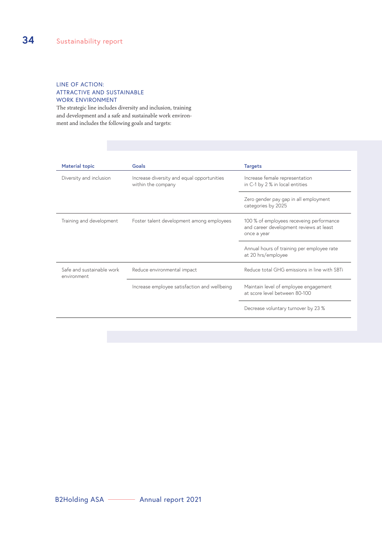#### LINE OF ACTION: ATTRACTIVE AND SUSTAINABLE WORK ENVIRONMENT

The strategic line includes diversity and inclusion, training and development and a safe and sustainable work environment and includes the following goals and targets:

| <b>Material topic</b>                    | Goals                                                            | <b>Targets</b>                                                                                     |
|------------------------------------------|------------------------------------------------------------------|----------------------------------------------------------------------------------------------------|
| Diversity and inclusion                  | Increase diversity and equal opportunities<br>within the company | Increase female representation<br>in C-1 by 2 % in local entities                                  |
|                                          |                                                                  | Zero gender pay gap in all employment<br>categories by 2025                                        |
| Training and development                 | Foster talent development among employees                        | 100 % of employees receveing performance<br>and career development reviews at least<br>once a year |
|                                          |                                                                  | Annual hours of training per employee rate<br>at 20 hrs/employee                                   |
| Safe and sustainable work<br>environment | Reduce environmental impact                                      | Reduce total GHG emissions in line with SBTi                                                       |
|                                          | Increase employee satisfaction and wellbeing                     | Maintain level of employee engagement<br>at score level between 80-100                             |
|                                          |                                                                  | Decrease voluntary turnover by 23 %                                                                |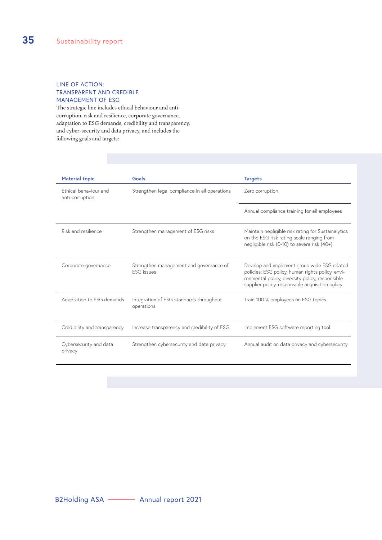#### LINE OF ACTION: TRANSPARENT AND CREDIBLE MANAGEMENT OF ESG

The strategic line includes ethical behaviour and anticorruption, risk and resilience, corporate governance, adaptation to ESG demands, credibility and transparency, and cyber-security and data privacy, and includes the following goals and targets:

| <b>Material topic</b>                    | Goals                                                        | <b>Targets</b>                                                                                                                                                                                         |
|------------------------------------------|--------------------------------------------------------------|--------------------------------------------------------------------------------------------------------------------------------------------------------------------------------------------------------|
| Ethical behaviour and<br>anti-corruption | Strengthen legal compliance in all operations                | Zero corruption                                                                                                                                                                                        |
|                                          |                                                              | Annual compliance training for all employees                                                                                                                                                           |
| Risk and resilience                      | Strengthen management of ESG risks                           | Maintain negligible risk rating for Sustainalytics<br>on the ESG risk rating scale ranging from<br>negligible risk (0-10) to severe risk (40+)                                                         |
| Corporate governance                     | Strengthen management and governance of<br><b>FSG</b> issues | Develop and implement group wide ESG related<br>policies: ESG policy, human rights policy, envi-<br>ronmental policy, diversity policy, responsible<br>supplier policy, responsible acquisition policy |
| Adaptation to ESG demands                | Integration of ESG standards throughout<br>operations        | Train 100 % employees on ESG topics                                                                                                                                                                    |
| Credibility and transparency             | Increase transparency and credibility of ESG                 | Implement ESG software reporting tool                                                                                                                                                                  |
| Cybersecurity and data<br>privacy        | Strengthen cybersecurity and data privacy                    | Annual audit on data privacy and cybersecurity                                                                                                                                                         |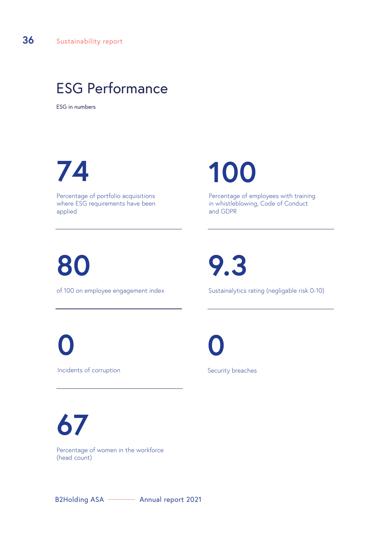## ESG Performance

ESG in numbers

## **74**

Percentage of portfolio acquisitions where ESG requirements have been applied

**100**

Percentage of employees with training in whistleblowing, Code of Conduct and GDPR

# **80**

of 100 on employee engagement index

**9.3**

Sustainalytics rating (negligable risk 0-10)

Incidents of corruption **0**

**0**

Security breaches

**67** Percentage of women in the workforce (head count)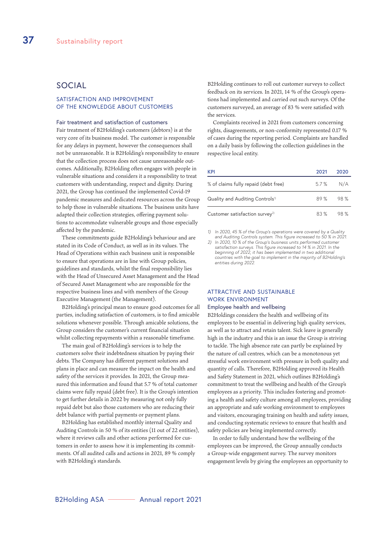#### SOCIAL

#### SATISFACTION AND IMPROVEMENT OF THE KNOWLEDGE ABOUT CUSTOMERS

#### Fair treatment and satisfaction of customers

Fair treatment of B2Holding's customers (debtors) is at the very core of its business model. The customer is responsible for any delays in payment, however the consequences shall not be unreasonable. It is B2Holding's responsibility to ensure that the collection process does not cause unreasonable outcomes. Additionally, B2Holding often engages with people in vulnerable situations and considers it a responsibility to treat customers with understanding, respect and dignity. During 2021, the Group has continued the implemented Covid-19 pandemic measures and dedicated resources across the Group to help those in vulnerable situations. The business units have adapted their collection strategies, offering payment solutions to accommodate vulnerable groups and those especially affected by the pandemic.

These commitments guide B2Holding's behaviour and are stated in its Code of Conduct, as well as in its values. The Head of Operations within each business unit is responsible to ensure that operations are in line with Group policies, guidelines and standards, whilst the final responsibility lies with the Head of Unsecured Asset Management and the Head of Secured Asset Management who are responsible for the respective business lines and with members of the Group Executive Management (the Management).

B2Holding's principal mean to ensure good outcomes for all parties, including satisfaction of customers, is to find amicable solutions whenever possible. Through amicable solutions, the Group considers the customer's current financial situation whilst collecting repayments within a reasonable timeframe.

The main goal of B2Holding's services is to help the customers solve their indebtedness situation by paying their debts. The Company has different payment solutions and plans in place and can measure the impact on the health and safety of the services it provides. In 2021, the Group measured this information and found that 5.7 % of total customer claims were fully repaid (debt free). It is the Group's intention to get further details in 2022 by measuring not only fully repaid debt but also those customers who are reducing their debt balance with partial payments or payment plans.

B2Holding has established monthly internal Quality and Auditing Controls in 50 % of its entities (11 out of 22 entities), where it reviews calls and other actions performed for customers in order to assess how it is implementing its commitments. Of all audited calls and actions in 2021, 89 % comply with B2Holding's standards.

B2Holding continues to roll out customer surveys to collect feedback on its services. In 2021, 14 % of the Group's operations had implemented and carried out such surveys. Of the customers surveyed, an average of 83 % were satisfied with the services.

Complaints received in 2021 from customers concerning rights, disagreements, or non-conformity represented 0.17 % of cases during the reporting period. Complaints are handled on a daily basis by following the collection guidelines in the respective local entity.

| <b>KPI</b>                                  | 2021  | 2020 |
|---------------------------------------------|-------|------|
| % of claims fully repaid (debt free)        | 5.7 % | N/A  |
| Quality and Auditing Controls <sup>1)</sup> | 89 %  | 98 % |
| Customer satisfaction survey <sup>2)</sup>  | 83 %  | 98 % |

*1) In 2020, 45 % of the Group's operations were covered by a Quality and Auditing Controls system. This figure increased to 50 % in 2021.*

*2) In 2020, 10 % of the Group's business units performed customer satisfaction surveys. This figure increased to 14 % in 2021. In the beginning of 2022, it has been implemented in two additional countries with the goal to implement in the majority of B2Holding's entities during 2022.*

#### ATTRACTIVE AND SUSTAINABLE WORK ENVIRONMENT

#### Employee health and wellbeing

B2Holdings considers the health and wellbeing of its employees to be essential in delivering high quality services, as well as to attract and retain talent. Sick leave is generally high in the industry and this is an issue the Group is striving to tackle. The high absence rate can partly be explained by the nature of call centres, which can be a monotonous yet stressful work environment with pressure in both quality and quantity of calls. Therefore, B2Holding approved its Health and Safety Statement in 2021, which outlines B2Holding's commitment to treat the wellbeing and health of the Group's employees as a priority. This includes fostering and promoting a health and safety culture among all employees, providing an appropriate and safe working environment to employees and visitors, encouraging training on health and safety issues, and conducting systematic reviews to ensure that health and safety policies are being implemented correctly.

In order to fully understand how the wellbeing of the employees can be improved, the Group annually conducts a Group-wide engagement survey. The survey monitors engagement levels by giving the employees an opportunity to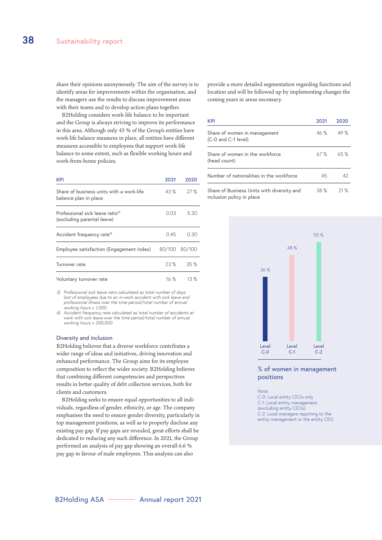share their opinions anonymously. The aim of the survey is to identify areas for improvements within the organisation, and the managers use the results to discuss improvement areas with their teams and to develop action plans together.

B2Holding considers work-life balance to be important and the Group is always striving to improve its performance in this area. Although only 43 % of the Group's entities have work-life balance measures in place, all entities have different measures accessible to employees that support work-life balance to some extent, such as flexible working hours and work-from-home policies.

| <b>KPI</b>                                                                | 2021 | 2020          |
|---------------------------------------------------------------------------|------|---------------|
| Share of business units with a work-life<br>balance plan in place         | 43 % | 27%           |
| Professional sick leave ratio <sup>3)</sup><br>(excluding parental leave) | 0.03 | 5.30          |
| Accident frequency rate <sup>4)</sup>                                     | 0.45 | 0.30          |
| Employee satisfaction (Engagement index)                                  |      | 80/100 80/100 |
| Turnover rate                                                             | 23%  | 35%           |
| Voluntary turnover rate                                                   | 16%  | 13%           |

*3) Professional sick leave ratio calculated as total number of days lost of employees due to an in-work accident with sick leave and professional illness over the time period/total number of annual working hours x 1,000.*

*4) Accident frequency rate calculated as total number of accidents at work with sick leave over the time period/total number of annual working hours x 200,000*

#### Diversity and inclusion

B2Holding believes that a diverse workforce contributes a wider range of ideas and initiatives, driving innovation and enhanced performance. The Group aims for its employee composition to reflect the wider society. B2Holding believes that combining different competencies and perspectives results in better quality of debt collection services, both for clients and customers.

B2Holding seeks to ensure equal opportunities to all individuals, regardless of gender, ethnicity, or age. The company emphasises the need to ensure gender diversity, particularly in top management positions, as well as to properly disclose any existing pay gap. If pay gaps are revealed, great efforts shall be dedicated to reducing any such difference. In 2021, the Group performed an analysis of pay gap showing an overall 6.6 % pay gap in favour of male employees. This analysis can also

provide a more detailed segmentation regarding functions and location and will be followed up by implementing changes the coming years in areas necessary.

| <b>KPI</b>                                                              | 2021 | 2020 |
|-------------------------------------------------------------------------|------|------|
| Share of women in management<br>(C-0 and C-1 level)                     | 46%  | 49 % |
| Share of women in the workforce<br>(head count)                         | 67 % | 65 % |
| Number of nationalities in the workforce                                | 45   | 42   |
| Share of Business Units with diversity and<br>inclusion policy in place | 38 % | 21 % |



#### % of women in management positions

Note:

C-0: Local entity CEOs only C-1: Local entity management (excluding entity CEOs) C-2: Local managers reporting to the entity management or the entity CEO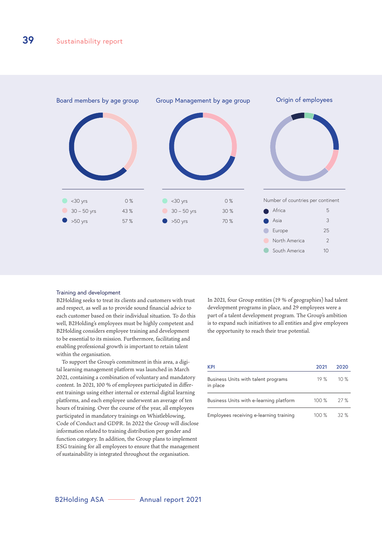

#### Training and development

B2Holding seeks to treat its clients and customers with trust and respect, as well as to provide sound financial advice to each customer based on their individual situation. To do this well, B2Holding's employees must be highly competent and B2Holding considers employee training and development to be essential to its mission. Furthermore, facilitating and enabling professional growth is important to retain talent within the organisation.

To support the Group's commitment in this area, a digital learning management platform was launched in March 2021, containing a combination of voluntary and mandatory content. In 2021, 100 % of employees participated in different trainings using either internal or external digital learning platforms, and each employee underwent an average of ten hours of training. Over the course of the year, all employees participated in mandatory trainings on Whistleblowing, Code of Conduct and GDPR. In 2022 the Group will disclose information related to training distribution per gender and function category. In addition, the Group plans to implement ESG training for all employees to ensure that the management of sustainability is integrated throughout the organisation.

In 2021, four Group entities (19 % of geographies) had talent development programs in place, and 29 employees were a part of a talent development program. The Group's ambition is to expand such initiatives to all entities and give employees the opportunity to reach their true potential.

| KPI                                             | 2021    | 2020 |
|-------------------------------------------------|---------|------|
| Business Units with talent programs<br>in place | 19%     | 10%  |
| Business Units with e-learning platform         | 100%    | 27 % |
| Employees receiving e-learning training         | $100\%$ | 32%  |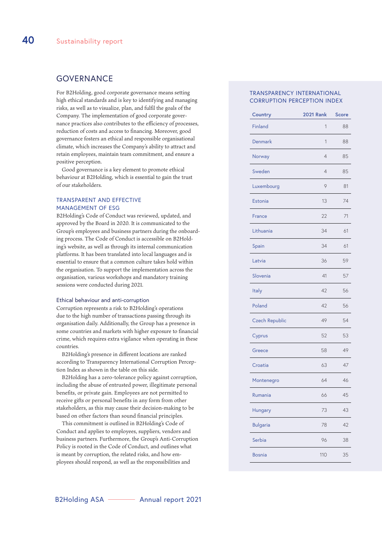#### **GOVERNANCE**

For B2Holding, good corporate governance means setting high ethical standards and is key to identifying and managing risks, as well as to visualize, plan, and fulfil the goals of the Company. The implementation of good corporate governance practices also contributes to the efficiency of processes, reduction of costs and access to financing. Moreover, good governance fosters an ethical and responsible organisational climate, which increases the Company's ability to attract and retain employees, maintain team commitment, and ensure a positive perception.

Good governance is a key element to promote ethical behaviour at B2Holding, which is essential to gain the trust of our stakeholders.

#### TRANSPARENT AND EFFECTIVE MANAGEMENT OF ESG

B2Holding's Code of Conduct was reviewed, updated, and approved by the Board in 2020. It is communicated to the Group's employees and business partners during the onboarding process. The Code of Conduct is accessible on B2Holding's website, as well as through its internal communication platforms. It has been translated into local languages and is essential to ensure that a common culture takes hold within the organisation. To support the implementation across the organisation, various workshops and mandatory training sessions were conducted during 2021.

#### Ethical behaviour and anti-corruption

Corruption represents a risk to B2Holding's operations due to the high number of transactions passing through its organisation daily. Additionally, the Group has a presence in some countries and markets with higher exposure to financial crime, which requires extra vigilance when operating in these countries.

B2Holding's presence in different locations are ranked according to Transparency International Corruption Perception Index as shown in the table on this side.

B2Holding has a zero-tolerance policy against corruption, including the abuse of entrusted power, illegitimate personal benefits, or private gain. Employees are not permitted to receive gifts or personal benefits in any form from other stakeholders, as this may cause their decision-making to be based on other factors than sound financial principles.

This commitment is outlined in B2Holding's Code of Conduct and applies to employees, suppliers, vendors and business partners. Furthermore, the Group's Anti-Corruption Policy is rooted in the Code of Conduct, and outlines what is meant by corruption, the related risks, and how employees should respond, as well as the responsibilities and

#### TRANSPARENCY INTERNATIONAL CORRUPTION PERCEPTION INDEX

| Country               | <b>2021 Rank</b> | <b>Score</b> |
|-----------------------|------------------|--------------|
| <b>Finland</b>        | 1                | 88           |
| <b>Denmark</b>        | 1                | 88           |
| Norway                | $\overline{4}$   | 85           |
| Sweden                | $\overline{4}$   | 85           |
| Luxembourg            | 9                | 81           |
| Estonia               | 13               | 74           |
| France                | 22               | 71           |
| Lithuania             | 34               | 61           |
| Spain                 | 34               | 61           |
| Latvia                | 36               | 59           |
| Slovenia              | 41               | 57           |
| <b>Italy</b>          | 42               | 56           |
| Poland                | 42               | 56           |
| <b>Czech Republic</b> | 49               | 54           |
| Cyprus                | 52               | 53           |
| Greece                | 58               | 49           |
| Croatia               | 63               | 47           |
| Montenegro            | 64               | 46           |
| Rumania               | 66               | 45           |
| <b>Hungary</b>        | 73               | 43           |
| <b>Bulgaria</b>       | 78               | 42           |
| Serbia                | 96               | 38           |
| <b>Bosnia</b>         | 110              | 35           |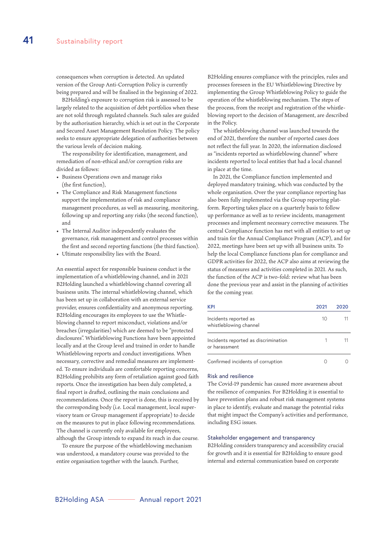consequences when corruption is detected. An updated version of the Group Anti-Corruption Policy is currently being prepared and will be finalised in the beginning of 2022.

B2Holding's exposure to corruption risk is assessed to be largely related to the acquisition of debt portfolios when these are not sold through regulated channels. Such sales are guided by the authorisation hierarchy, which is set out in the Corporate and Secured Asset Management Resolution Policy. The policy seeks to ensure appropriate delegation of authorities between the various levels of decision making.

The responsibility for identification, management, and remediation of non-ethical and/or corruption risks are divided as follows:

- Business Operations own and manage risks (the first function),
- The Compliance and Risk Management functions support the implementation of risk and compliance management procedures, as well as measuring, monitoring, following up and reporting any risks (the second function), and
- The Internal Auditor independently evaluates the governance, risk management and control processes within the first and second reporting functions (the third function).
- Ultimate responsibility lies with the Board.

An essential aspect for responsible business conduct is the implementation of a whistleblowing channel, and in 2021 B2Holding launched a whistleblowing channel covering all business units. The internal whistleblowing channel, which has been set up in collaboration with an external service provider, ensures confidentiality and anonymous reporting. B2Holding encourages its employees to use the Whistleblowing channel to report misconduct, violations and/or breaches (irregularities) which are deemed to be "protected disclosures". Whistleblowing Functions have been appointed locally and at the Group level and trained in order to handle Whistleblowing reports and conduct investigations. When necessary, corrective and remedial measures are implemented. To ensure individuals are comfortable reporting concerns, B2Holding prohibits any form of retaliation against good faith reports. Once the investigation has been duly completed, a final report is drafted, outlining the main conclusions and recommendations. Once the report is done, this is received by the corresponding body (i.e. Local management, local supervisory team or Group management if appropriate) to decide on the measures to put in place following recommendations. The channel is currently only available for employees, although the Group intends to expand its reach in due course.

To ensure the purpose of the whistleblowing mechanism was understood, a mandatory course was provided to the entire organisation together with the launch. Further,

B2Holding ensures compliance with the principles, rules and processes foreseen in the EU Whistleblowing Directive by implementing the Group Whistleblowing Policy to guide the operation of the whistleblowing mechanism. The steps of the process, from the receipt and registration of the whistleblowing report to the decision of Management, are described in the Policy.

The whistleblowing channel was launched towards the end of 2021, therefore the number of reported cases does not reflect the full year. In 2020, the information disclosed as "incidents reported as whistleblowing channel" where incidents reported to local entities that had a local channel in place at the time.

In 2021, the Compliance function implemented and deployed mandatory training, which was conducted by the whole organisation. Over the year compliance reporting has also been fully implemented via the Group reporting platform. Reporting takes place on a quarterly basis to follow up performance as well as to review incidents, management processes and implement necessary corrective measures. The central Compliance function has met with all entities to set up and train for the Annual Compliance Program (ACP), and for 2022, meetings have been set up with all business units. To help the local Compliance functions plan for compliance and GDPR activities for 2022, the ACP also aims at reviewing the status of measures and activities completed in 2021. As such, the function of the ACP is two-fold: review what has been done the previous year and assist in the planning of activities for the coming year.

| <b>KPI</b>                                            | 2021 | 2020 |
|-------------------------------------------------------|------|------|
| Incidents reported as<br>whistleblowing channel       | 10   |      |
| Incidents reported as discrimination<br>or harassment |      |      |
| Confirmed incidents of corruption                     |      |      |

#### Risk and resilience

The Covid-19 pandemic has caused more awareness about the resilience of companies. For B2Holding it is essential to have prevention plans and robust risk management systems in place to identify, evaluate and manage the potential risks that might impact the Company's activities and performance, including ESG issues.

#### Stakeholder engagement and transparency

B2Holding considers transparency and accessibility crucial for growth and it is essential for B2Holding to ensure good internal and external communication based on corporate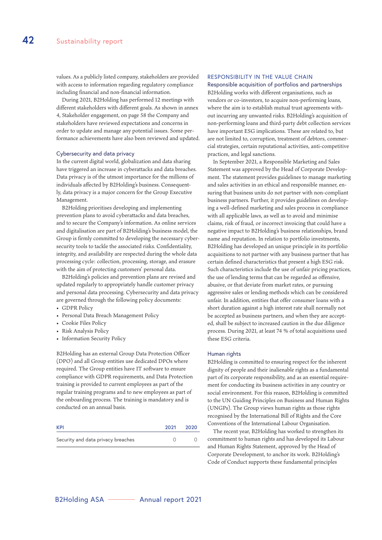values. As a publicly listed company, stakeholders are provided with access to information regarding regulatory compliance including financial and non-financial information.

During 2021, B2Holding has performed 12 meetings with different stakeholders with different goals. As shown in annex 4, Stakeholder engagement, on page 58 the Company and stakeholders have reviewed expectations and concerns in order to update and manage any potential issues. Some performance achievements have also been reviewed and updated.

#### Cybersecurity and data privacy

In the current digital world, globalization and data sharing have triggered an increase in cyberattacks and data breaches. Data privacy is of the utmost importance for the millions of individuals affected by B2Holding's business. Consequently, data privacy is a major concern for the Group Executive Management.

B2Holding prioritises developing and implementing prevention plans to avoid cyberattacks and data breaches, and to secure the Company's information. As online services and digitalisation are part of B2Holding's business model, the Group is firmly committed to developing the necessary cybersecurity tools to tackle the associated risks. Confidentiality, integrity, and availability are respected during the whole data processing cycle: collection, processing, storage, and erasure with the aim of protecting customers' personal data.

B2Holding's policies and prevention plans are revised and updated regularly to appropriately handle customer privacy and personal data processing. Cybersecurity and data privacy are governed through the following policy documents:

- GDPR Policy
- Personal Data Breach Management Policy
- Cookie Files Policy
- Risk Analysis Policy
- Information Security Policy

B2Holding has an external Group Data Protection Officer (DPO) and all Group entities use dedicated DPOs where required. The Group entities have IT software to ensure compliance with GDPR requirements, and Data Protection training is provided to current employees as part of the regular training programs and to new employees as part of the onboarding process. The training is mandatory and is conducted on an annual basis.

| <b>KPI</b>                         | 2021 | 2020 |
|------------------------------------|------|------|
| Security and data privacy breaches |      |      |

#### RESPONSIBILITY IN THE VALUE CHAIN

Responsible acquisition of portfolios and partnerships B2Holding works with different organisations, such as vendors or co-investors, to acquire non-performing loans, where the aim is to establish mutual trust agreements without incurring any unwanted risks. B2Holding's acquisition of non-performing loans and third-party debt collection services have important ESG implications. These are related to, but are not limited to, corruption, treatment of debtors, commercial strategies, certain reputational activities, anti-competitive practices, and legal sanctions.

In September 2021, a Responsible Marketing and Sales Statement was approved by the Head of Corporate Development. The statement provides guidelines to manage marketing and sales activities in an ethical and responsible manner, ensuring that business units do not partner with non-compliant business partners. Further, it provides guidelines on developing a well-defined marketing and sales process in compliance with all applicable laws, as well as to avoid and minimise claims, risk of fraud, or incorrect invoicing that could have a negative impact to B2Holding's business relationships, brand name and reputation. In relation to portfolio investments, B2Holding has developed an unique principle in its portfolio acquisitions to not partner with any business partner that has certain defined characteristics that present a high ESG risk. Such characteristics include the use of unfair pricing practices, the use of lending terms that can be regarded as offensive, abusive, or that deviate from market rates, or pursuing aggressive sales or lending methods which can be considered unfair. In addition, entities that offer consumer loans with a short duration against a high interest rate shall normally not be accepted as business partners, and when they are accepted, shall be subject to increased caution in the due diligence process. During 2021, at least 74 % of total acquisitions used these ESG criteria.

#### Human rights

B2Holding is committed to ensuring respect for the inherent dignity of people and their inalienable rights as a fundamental part of its corporate responsibility, and as an essential requirement for conducting its business activities in any country or social environment. For this reason, B2Holding is committed to the UN Guiding Principles on Business and Human Rights (UNGPs). The Group views human rights as those rights recognised by the International Bill of Rights and the Core Conventions of the International Labour Organisation.

The recent year, B2Holding has worked to strengthen its commitment to human rights and has developed its Labour and Human Rights Statement, approved by the Head of Corporate Development, to anchor its work. B2Holding's Code of Conduct supports these fundamental principles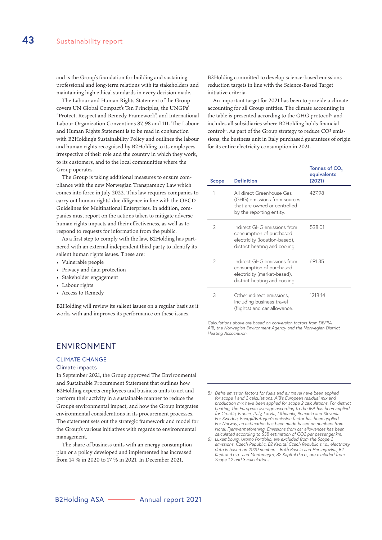and is the Group's foundation for building and sustaining professional and long-term relations with its stakeholders and maintaining high ethical standards in every decision made.

The Labour and Human Rights Statement of the Group covers UN Global Compact's Ten Principles, the UNGPs' "Protect, Respect and Remedy Framework", and International Labour Organization Conventions 87, 98 and 111. The Labour and Human Rights Statement is to be read in conjunction with B2Holding's Sustainability Policy and outlines the labour and human rights recognised by B2Holding to its employees irrespective of their role and the country in which they work, to its customers, and to the local communities where the Group operates.

The Group is taking additional measures to ensure compliance with the new Norwegian Transparency Law which comes into force in July 2022. This law requires companies to carry out human rights' due diligence in line with the OECD Guidelines for Multinational Enterprises. In addition, companies must report on the actions taken to mitigate adverse human rights impacts and their effectiveness, as well as to respond to requests for information from the public.

As a first step to comply with the law, B2Holding has partnered with an external independent third party to identify its salient human rights issues. These are:

- Vulnerable people
- Privacy and data protection
- Stakeholder engagement
- Labour rights
- Access to Remedy

B2Holding will review its salient issues on a regular basis as it works with and improves its performance on these issues.

#### ENVIRONMENT

#### CLIMATE CHANGE

#### Climate impacts

In September 2021, the Group approved The Environmental and Sustainable Procurement Statement that outlines how B2Holding expects employees and business units to act and perform their activity in a sustainable manner to reduce the Group's environmental impact, and how the Group integrates environmental considerations in its procurement processes. The statement sets out the strategic framework and model for the Group's various initiatives with regards to environmental management.

The share of business units with an energy consumption plan or a policy developed and implemented has increased from 14 % in 2020 to 17 % in 2021. In December 2021,

B2Holding committed to develop science-based emissions reduction targets in line with the Science-Based Target initiative criteria.

An important target for 2021 has been to provide a climate accounting for all Group entities. The climate accounting in the table is presented according to the GHG protocol<sup>5)</sup> and includes all subsidiaries where B2Holding holds financial control<sup>6)</sup>. As part of the Group strategy to reduce  $CO<sup>2</sup>$  emissions, the business unit in Italy purchased guarantees of origin for its entire electricity consumption in 2021.

| Scope          | <b>Definition</b>                                                                                                         | Tonnes of CO <sub>2</sub><br>equivalents<br>(2021) |
|----------------|---------------------------------------------------------------------------------------------------------------------------|----------------------------------------------------|
| 1              | All direct Greenhouse Gas<br>(GHG) emissions from sources<br>that are owned or controlled<br>by the reporting entity.     | 427.98                                             |
| 2              | Indirect GHG emissions from<br>consumption of purchased<br>electricity (location-based),<br>district heating and cooling. | 538.01                                             |
| $\mathfrak{D}$ | Indirect GHG emissions from<br>consumption of purchased<br>electricity (market-based),<br>district heating and cooling.   | 691.35                                             |
| 3              | Other indirect emissions,<br>including business travel<br>(flights) and car allowance.                                    | 1218.14                                            |

*Calculations above are based on conversion factors from DEFRA, AIB, the Norwegian Environment Agency and the Norwegian District Heating Association.*

*6) Luxembourg, Ultimo Portfolio, are excluded from the Scope 2 emissions. Czech Republic, B2 Kapital Czech Republic s.r.o., electricity data is based on 2020 numbers. Both Bosnia and Herzegovina, B2 Kapital d.o.o., and Montenegro, B2 Kapital d.o.o., are excluded from Scope 1,2 and 3 calculations.* 

*<sup>5)</sup> Defra emission factors for fuels and air travel have been applied for scope 1 and 2 calculations. AIB's European residual mix and production mix have been applied for scope 2 calculations. For district heating, the European average according to the IEA has been applied for Croatia, France, Italy, Latvia, Lithuania, Romania and Slovenia. For Sweden, Energiföretagen's emission factor has been applied. For Norway, an estimation has been made based on numbers from Norsk Fjernvarmeforening. Emissions from car allowances has been calculated according to SSB estimation of CO2 per passenger.km.*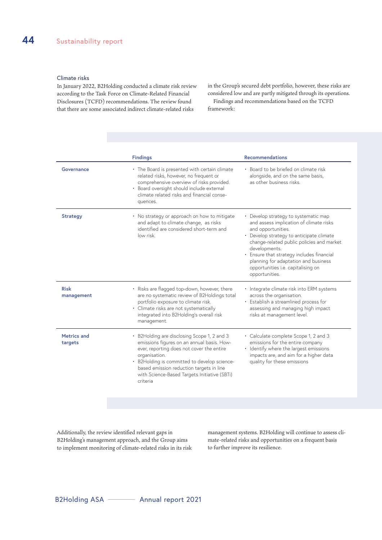#### Climate risks

In January 2022, B2Holding conducted a climate risk review according to the Task Force on Climate-Related Financial Disclosures (TCFD) recommendations. The review found that there are some associated indirect climate-related risks

in the Group's secured debt portfolio, however, these risks are considered low and are partly mitigated through its operations.

Findings and recommendations based on the TCFD framework:

|                               | <b>Findings</b>                                                                                                                                                                                                                                                                                                 | <b>Recommendations</b>                                                                                                                                                                                                                                                                                                                                     |
|-------------------------------|-----------------------------------------------------------------------------------------------------------------------------------------------------------------------------------------------------------------------------------------------------------------------------------------------------------------|------------------------------------------------------------------------------------------------------------------------------------------------------------------------------------------------------------------------------------------------------------------------------------------------------------------------------------------------------------|
| Governance                    | • The Board is presented with certain climate<br>related risks, however, no frequent or<br>comprehensive overview of risks provided.<br>• Board oversight should include external<br>climate related risks and financial conse-<br>quences.                                                                     | • Board to be briefed on climate risk<br>alongside, and on the same basis,<br>as other business risks.                                                                                                                                                                                                                                                     |
| <b>Strategy</b>               | • No strategy or approach on how to mitigate<br>and adapt to climate change, as risks<br>identified are considered short-term and<br>low risk.                                                                                                                                                                  | Develop strategy to systematic map<br>and assess implication of climate risks<br>and opportunities.<br>• Develop strategy to anticipate climate<br>change-related public policies and market<br>developments.<br>• Ensure that strategy includes financial<br>planning for adaptation and business<br>opportunities i.e. capitalising on<br>opportunities. |
| <b>Risk</b><br>management     | • Risks are flagged top-down, however, there<br>are no systematic review of B2Holdings total<br>portfolio exposure to climate risk.<br>• Climate risks are not systematically<br>integrated into B2Holding's overall risk<br>management.                                                                        | Integrate climate risk into ERM systems<br>across the organisation.<br>• Establish a streamlined process for<br>assessing and managing high impact<br>risks at management level.                                                                                                                                                                           |
| <b>Metrics and</b><br>targets | • B2Holding are disclosing Scope 1, 2 and 3<br>emissions figures on an annual basis. How-<br>ever, reporting does not cover the entire<br>organisation.<br>• B2Holding is committed to develop science-<br>based emission reduction targets in line<br>with Science-Based Targets Initiative (SBTi)<br>criteria | • Calculate complete Scope 1, 2 and 3<br>emissions for the entire company<br>· Identify where the largest emissions<br>impacts are, and aim for a higher data<br>quality for these emissions                                                                                                                                                               |
|                               |                                                                                                                                                                                                                                                                                                                 |                                                                                                                                                                                                                                                                                                                                                            |

Additionally, the review identified relevant gaps in B2Holding's management approach, and the Group aims to implement monitoring of climate-related risks in its risk management systems. B2Holding will continue to assess climate-related risks and opportunities on a frequent basis to further improve its resilience.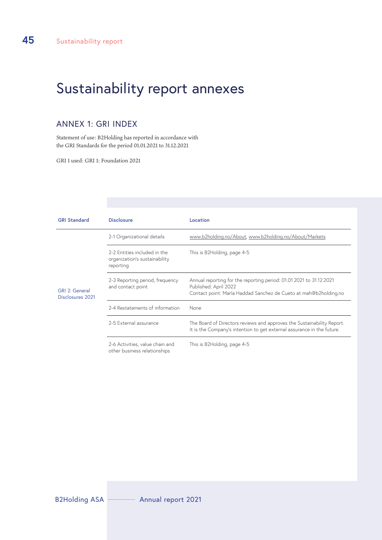## Sustainability report annexes

#### ANNEX 1: GRI INDEX

Statement of use: B2Holding has reported in accordance with the GRI Standards for the period 01.01.2021 to 31.12.2021

GRI 1 used: GRI 1: Foundation 2021

| <b>GRI Standard</b>                | <b>Disclosure</b>                                                          | Location                                                                                                                                                         |
|------------------------------------|----------------------------------------------------------------------------|------------------------------------------------------------------------------------------------------------------------------------------------------------------|
|                                    | 2-1 Organizational details                                                 | www.b2holding.no/About, www.b2holding.no/About/Markets                                                                                                           |
|                                    | 2-2 Entities included in the<br>organization's sustainability<br>reporting | This is B2Holding, page 4-5                                                                                                                                      |
| GRI 2: General<br>Disclosures 2021 | 2-3 Reporting period, frequency<br>and contact point                       | Annual reporting for the reporting period: 01.01.2021 to 31.12.2021<br>Published: April 2022<br>Contact point: María Haddad Sanchez de Cueto at mah@b2holding.no |
|                                    | 2-4 Restatements of information                                            | None                                                                                                                                                             |
|                                    | 2-5 External assurance                                                     | The Board of Directors reviews and approves the Sustainability Report.<br>It is the Company's intention to get external assurance in the future.                 |
|                                    | 2-6 Activities, value chain and<br>other business relationships            | This is B2Holding, page 4-5                                                                                                                                      |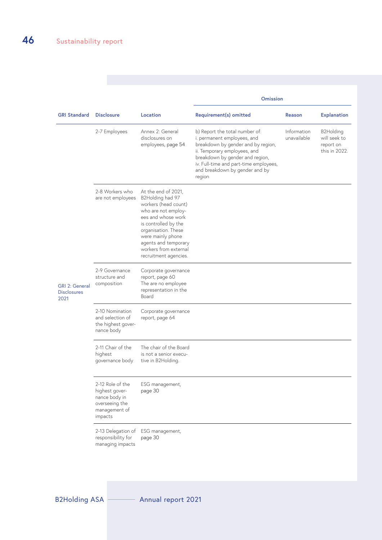|                                                     |                                                                                                   |                                                                                                                                                                                                                                                            | <b>Omission</b>                                                                                                                                                                                                                                              |                            |                                                         |
|-----------------------------------------------------|---------------------------------------------------------------------------------------------------|------------------------------------------------------------------------------------------------------------------------------------------------------------------------------------------------------------------------------------------------------------|--------------------------------------------------------------------------------------------------------------------------------------------------------------------------------------------------------------------------------------------------------------|----------------------------|---------------------------------------------------------|
| <b>GRI Standard</b>                                 | <b>Disclosure</b>                                                                                 | Location                                                                                                                                                                                                                                                   | Requirement(s) omitted                                                                                                                                                                                                                                       | Reason                     | <b>Explanation</b>                                      |
|                                                     | 2-7 Employees                                                                                     | Annex 2: General<br>disclosures on<br>employees, page 54                                                                                                                                                                                                   | b) Report the total number of:<br>i. permanent employees, and<br>breakdown by gender and by region,<br>ii. Temporary employees, and<br>breakdown by gender and region,<br>iv. Full-time and part-time employees,<br>and breakdown by gender and by<br>region | Information<br>unavailable | B2Holding<br>will seek to<br>report on<br>this in 2022. |
|                                                     | 2-8 Workers who<br>are not employees                                                              | At the end of 2021,<br>B2Holding had 97<br>workers (head count)<br>who are not employ-<br>ees and whose work<br>is controlled by the<br>organisation. These<br>were mainly phone<br>agents and temporary<br>workers from external<br>recruitment agencies. |                                                                                                                                                                                                                                                              |                            |                                                         |
| <b>GRI 2: General</b><br><b>Disclosures</b><br>2021 | 2-9 Governance<br>structure and<br>composition                                                    | Corporate governance<br>report, page 60<br>The are no employee<br>representation in the<br>Board                                                                                                                                                           |                                                                                                                                                                                                                                                              |                            |                                                         |
|                                                     | 2-10 Nomination<br>and selection of<br>the highest gover-<br>nance body                           | Corporate governance<br>report, page 64                                                                                                                                                                                                                    |                                                                                                                                                                                                                                                              |                            |                                                         |
|                                                     | 2-11 Chair of the<br>highest<br>governance body                                                   | The chair of the Board<br>is not a senior execu-<br>tive in B2Holding.                                                                                                                                                                                     |                                                                                                                                                                                                                                                              |                            |                                                         |
|                                                     | 2-12 Role of the<br>highest gover-<br>nance body in<br>overseeing the<br>management of<br>impacts | ESG management,<br>page 30                                                                                                                                                                                                                                 |                                                                                                                                                                                                                                                              |                            |                                                         |
|                                                     | 2-13 Delegation of<br>responsibility for<br>managing impacts                                      | ESG management,<br>page 30                                                                                                                                                                                                                                 |                                                                                                                                                                                                                                                              |                            |                                                         |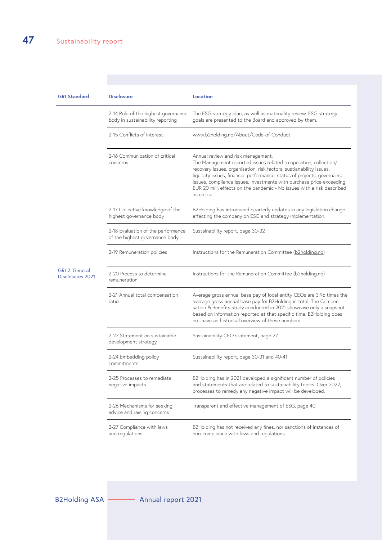| <b>GRI Standard</b>                              | <b>Disclosure</b>                                                       | Location                                                                                                                                                                                                                                                                                                                                                                                                                   |
|--------------------------------------------------|-------------------------------------------------------------------------|----------------------------------------------------------------------------------------------------------------------------------------------------------------------------------------------------------------------------------------------------------------------------------------------------------------------------------------------------------------------------------------------------------------------------|
|                                                  | 2-14 Role of the highest governance<br>body in sustainability reporting | The ESG strategy plan, as well as materiality review. ESG strategy<br>goals are presented to the Board and approved by them.                                                                                                                                                                                                                                                                                               |
|                                                  | 2-15 Conflicts of interest                                              | www.b2holding.no/About/Code-of-Conduct                                                                                                                                                                                                                                                                                                                                                                                     |
|                                                  | 2-16 Communication of critical<br>concerns                              | Annual review and risk management.<br>The Management reported issues related to operation, collection/<br>recovery issues, organisation, risk factors, sustianability issues,<br>liquidity issues, financial performance, status of projects, governance<br>issues, compliance issues, investments with purchase price exceeding<br>EUR 20 mill, effects on the pandemic - No issues with a risk described<br>as critical. |
|                                                  | 2-17 Collective knowledge of the<br>highest governance body             | B2Holding has introduced quarterly updates in any legislation change<br>affecting the company on ESG and strategy implementation.                                                                                                                                                                                                                                                                                          |
|                                                  | 2-18 Evaluation of the performance<br>of the highest governance body    | Sustainability report, page 30-32                                                                                                                                                                                                                                                                                                                                                                                          |
|                                                  | 2-19 Remuneration policies                                              | Instructions for the Remuneration Committee (b2holding.no)                                                                                                                                                                                                                                                                                                                                                                 |
| <b>GRI 2: General</b><br><b>Disclosures 2021</b> | 2-20 Process to determine<br>remuneration                               | Instructions for the Remuneration Committee (b2holding.no)                                                                                                                                                                                                                                                                                                                                                                 |
|                                                  | 2-21 Annual total compensation<br>ratio                                 | Average gross annual base pay of local entity CEOs are 3.96 times the<br>average gross annual base pay for B2Holding in total. The Compen-<br>sation & Benefits study conducted in 2021 showcase only a snapshot<br>based on information reported at that specific time. B2Holding does<br>not have an historical overview of these numbers.                                                                               |
|                                                  | 2-22 Statement on sustainable<br>development strategy                   | Sustainability CEO statement, page 27                                                                                                                                                                                                                                                                                                                                                                                      |
|                                                  | 2-24 Embedding policy<br>commitments                                    | Sustainability report, page 30-31 and 40-41                                                                                                                                                                                                                                                                                                                                                                                |
|                                                  | 2-25 Processes to remediate<br>negative impacts                         | B2Holding has in 2021 developed a significant number of policies<br>and statements that are related to sustainability topics. Over 2022,<br>processes to remedy any negative impact will be developed.                                                                                                                                                                                                                     |
|                                                  | 2-26 Mechanisms for seeking<br>advice and raising concerns              | Transparent and effective management of ESG, page 40                                                                                                                                                                                                                                                                                                                                                                       |
|                                                  | 2-27 Compliance with laws<br>and regulations                            | B2Holding has not received any fines, nor sanctions of instances of<br>non-compliance with laws and regulations                                                                                                                                                                                                                                                                                                            |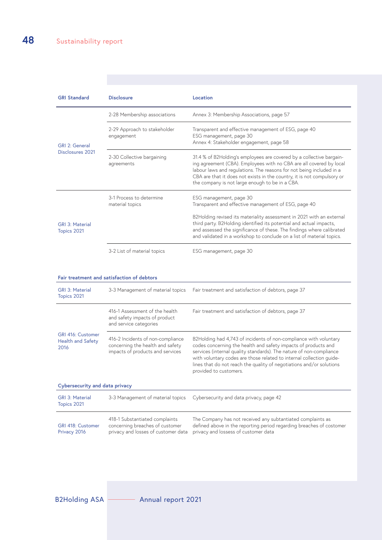| <b>GRI Standard</b>                       | <b>Disclosure</b>                                               | Location                                                                                                                                                                                                                                                                                                                                          |  |
|-------------------------------------------|-----------------------------------------------------------------|---------------------------------------------------------------------------------------------------------------------------------------------------------------------------------------------------------------------------------------------------------------------------------------------------------------------------------------------------|--|
|                                           | 2-28 Membership associations                                    | Annex 3: Membership Associations, page 57                                                                                                                                                                                                                                                                                                         |  |
| GRI 2: General<br><b>Disclosures 2021</b> | 2-29 Approach to stakeholder<br>engagement                      | Transparent and effective management of ESG, page 40<br>ESG management, page 30<br>Annex 4: Stakeholder engagement, page 58                                                                                                                                                                                                                       |  |
|                                           | 2-30 Collective bargaining<br>agreements                        | 31.4 % of B2Holding's employees are covered by a collective bargain-<br>ing agreement (CBA). Employees with no CBA are all covered by local<br>labour laws and regulations. The reasons for not being included in a<br>CBA are that it does not exists in the country, it is not compulsory or<br>the company is not large enough to be in a CBA. |  |
|                                           | 3-1 Process to determine<br>material topics                     | ESG management, page 30<br>Transparent and effective management of ESG, page 40                                                                                                                                                                                                                                                                   |  |
| <b>GRI 3: Material</b><br>Topics 2021     |                                                                 | B2Holding revised its materiality assessment in 2021 with an external<br>third party. B2Holding identified its potential and actual impacts,<br>and assessed the significance of these. The findings where calibrated<br>and validated in a workshop to conclude on a list of material topics.                                                    |  |
|                                           | 3-2 List of material topics                                     | ESG management, page 30                                                                                                                                                                                                                                                                                                                           |  |
|                                           | Fair treatment and satisfaction of debtors                      |                                                                                                                                                                                                                                                                                                                                                   |  |
| <b>GRI 3: Material</b><br>Topics 2021     | 3-3 Management of material topics                               | Fair treatment and satisfaction of debtors, page 37                                                                                                                                                                                                                                                                                               |  |
|                                           | 416-1 Assessment of the health<br>and safety impacts of product | Fair treatment and satisfaction of debtors, page 37                                                                                                                                                                                                                                                                                               |  |

|                                                       | and safety impacts of product<br>and service categories                                                   |                                                                                                                                                                                                                                                                                                                                                                                      |  |  |  |
|-------------------------------------------------------|-----------------------------------------------------------------------------------------------------------|--------------------------------------------------------------------------------------------------------------------------------------------------------------------------------------------------------------------------------------------------------------------------------------------------------------------------------------------------------------------------------------|--|--|--|
| GRI 416: Customer<br><b>Health and Safety</b><br>2016 | 416-2 Incidents of non-compliance<br>concerning the health and safety<br>impacts of products and services | B2Holding had 4,743 of incidents of non-compliance with voluntary<br>codes concerning the health and safety impacts of products and<br>services (internal quality standards). The nature of non-compliance<br>with voluntary codes are those related to internal collection quide-<br>lines that do not reach the quality of negotiations and/or solutions<br>provided to customers. |  |  |  |
| Cybersecurity and data privacy                        |                                                                                                           |                                                                                                                                                                                                                                                                                                                                                                                      |  |  |  |
| <b>GRI 3: Material</b><br>Topics 2021                 | 3-3 Management of material topics                                                                         | Cybersecurity and data privacy, page 42                                                                                                                                                                                                                                                                                                                                              |  |  |  |
| <b>GRI 418: Customer</b><br>Privacy 2016              | 418-1 Substantiated complaints<br>concerning breaches of customer<br>privacy and losses of customer data  | The Company has not received any subtantiated complaints as<br>defined above in the reporting period regarding breaches of costomer<br>privacy and lossess of customer data                                                                                                                                                                                                          |  |  |  |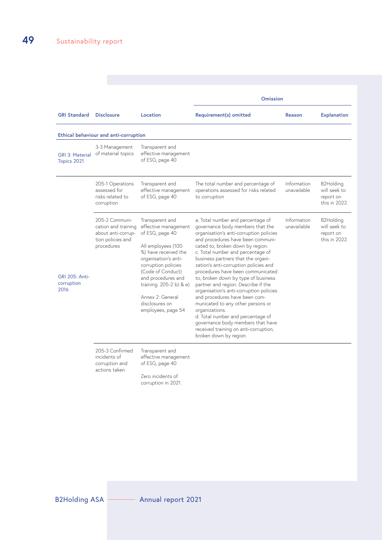|                                             |                                                                                                |                                                                                                                                                                                                                                                                                           | <b>Omission</b>                                                                                                                                                                                                                                                                                                                                                                                                                                                                                                                                                                                                                                                                                                  |                            |                                                         |
|---------------------------------------------|------------------------------------------------------------------------------------------------|-------------------------------------------------------------------------------------------------------------------------------------------------------------------------------------------------------------------------------------------------------------------------------------------|------------------------------------------------------------------------------------------------------------------------------------------------------------------------------------------------------------------------------------------------------------------------------------------------------------------------------------------------------------------------------------------------------------------------------------------------------------------------------------------------------------------------------------------------------------------------------------------------------------------------------------------------------------------------------------------------------------------|----------------------------|---------------------------------------------------------|
| <b>GRI Standard</b>                         | <b>Disclosure</b>                                                                              | Location                                                                                                                                                                                                                                                                                  | Requirement(s) omitted                                                                                                                                                                                                                                                                                                                                                                                                                                                                                                                                                                                                                                                                                           | Reason                     | <b>Explanation</b>                                      |
|                                             | Ethical behaviour and anti-corruption                                                          |                                                                                                                                                                                                                                                                                           |                                                                                                                                                                                                                                                                                                                                                                                                                                                                                                                                                                                                                                                                                                                  |                            |                                                         |
| <b>GRI 3: Material</b><br>Topics 2021       | 3-3 Management<br>of material topics                                                           | Transparent and<br>effective management<br>of ESG, page 40                                                                                                                                                                                                                                |                                                                                                                                                                                                                                                                                                                                                                                                                                                                                                                                                                                                                                                                                                                  |                            |                                                         |
|                                             | 205-1 Operations<br>assessed for<br>risks related to<br>corruption                             | Transparent and<br>effective management<br>of ESG, page 40                                                                                                                                                                                                                                | The total number and percentage of<br>operations assessed for risks related<br>to corruption                                                                                                                                                                                                                                                                                                                                                                                                                                                                                                                                                                                                                     | Information<br>unavailable | B2Holding<br>will seek to<br>report on<br>this in 2022. |
| <b>GRI 205: Anti-</b><br>corruption<br>2016 | 205-2 Communi-<br>cation and training<br>about anti-corrup-<br>tion policies and<br>procedures | Transparent and<br>effective management<br>of ESG, page 40<br>All employees (100<br>%) have received the<br>organisation's anti-<br>corruption policies<br>(Code of Conduct)<br>and procedures and<br>training. 205-2 b) & e)<br>Annex 2: General<br>disclosures on<br>employees, page 54 | a. Total number and percentage of<br>governance body members that the<br>organisation's anti-corruption policies<br>and procedures have been communi-<br>cated to, broken down by region.<br>c. Total number and percentage of<br>business partners that the organi-<br>zation's anti-corruption policies and<br>procedures have been communicated<br>to, broken down by type of business<br>partner and region. Describe if the<br>organisation's anti-corruption policies<br>and procedures have been com-<br>municated to any other persons or<br>organizations.<br>d. Total number and percentage of<br>governance body members that have<br>received training on anti-corruption,<br>broken down by region. | Information<br>unavailable | B2Holding<br>will seek to<br>report on<br>this in 2022. |
|                                             | 205-3 Confirmed<br>incidents of<br>corruption and<br>actions taken                             | Transparent and<br>effective management<br>of ESG, page 40                                                                                                                                                                                                                                |                                                                                                                                                                                                                                                                                                                                                                                                                                                                                                                                                                                                                                                                                                                  |                            |                                                         |

Zero incidents of corruption in 2021.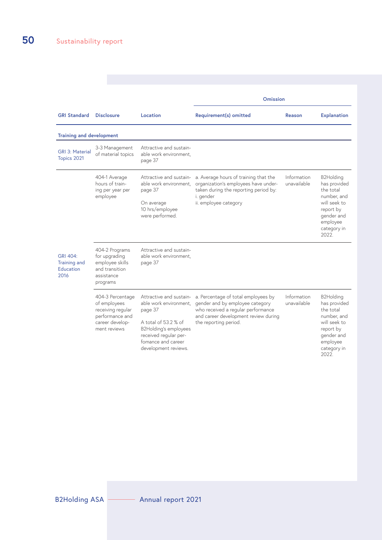|                                                             |                                                                                                             |                                                                                                                                                                                             | <b>Omission</b>                                                                                                                                                                      |                            |                                                                                                                                      |
|-------------------------------------------------------------|-------------------------------------------------------------------------------------------------------------|---------------------------------------------------------------------------------------------------------------------------------------------------------------------------------------------|--------------------------------------------------------------------------------------------------------------------------------------------------------------------------------------|----------------------------|--------------------------------------------------------------------------------------------------------------------------------------|
| <b>GRI Standard</b>                                         | <b>Disclosure</b>                                                                                           | Location                                                                                                                                                                                    | Requirement(s) omitted                                                                                                                                                               | Reason                     | <b>Explanation</b>                                                                                                                   |
| <b>Training and development</b>                             |                                                                                                             |                                                                                                                                                                                             |                                                                                                                                                                                      |                            |                                                                                                                                      |
| <b>GRI 3: Material</b><br>Topics 2021                       | 3-3 Management<br>of material topics                                                                        | Attractive and sustain-<br>able work environment,<br>page 37                                                                                                                                |                                                                                                                                                                                      |                            |                                                                                                                                      |
|                                                             | 404-1 Average<br>hours of train-<br>ing per year per<br>employee                                            | able work environment,<br>page 37<br>On average<br>10 hrs/employee<br>were performed.                                                                                                       | Attractive and sustain- a. Average hours of training that the<br>organization's employees have under-<br>taken during the reporting period by:<br>i. gender<br>ii. employee category | Information<br>unavailable | B2Holding<br>has provided<br>the total<br>number, and<br>will seek to<br>report by<br>gender and<br>employee<br>category in<br>2022. |
| <b>GRI 404:</b><br><b>Training and</b><br>Education<br>2016 | 404-2 Programs<br>for upgrading<br>employee skills<br>and transition<br>assistance<br>programs              | Attractive and sustain-<br>able work environment,<br>page 37                                                                                                                                |                                                                                                                                                                                      |                            |                                                                                                                                      |
|                                                             | 404-3 Percentage<br>of employees<br>receiving regular<br>performance and<br>career develop-<br>ment reviews | Attractive and sustain-<br>able work environment,<br>page 37<br>A total of 53.2 % of<br><b>B2Holding's employees</b><br>received regular per-<br>fomance and career<br>development reviews. | a. Percentage of total employees by<br>gender and by employee category<br>who received a regular performance<br>and career development review during<br>the reporting period.        | Information<br>unavailable | B2Holding<br>has provided<br>the total<br>number, and<br>will seek to<br>report by<br>gender and<br>employee<br>category in<br>2022. |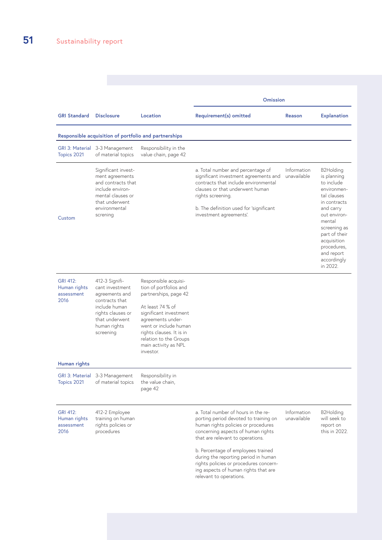|                                                       |                                                                                                                                                            |                                                                                                                                                                                                                                                                | <b>Omission</b>                                                                                                                                                                                                                                                                                                                                                                          |                            |                                                                                                                                                                                                                                     |
|-------------------------------------------------------|------------------------------------------------------------------------------------------------------------------------------------------------------------|----------------------------------------------------------------------------------------------------------------------------------------------------------------------------------------------------------------------------------------------------------------|------------------------------------------------------------------------------------------------------------------------------------------------------------------------------------------------------------------------------------------------------------------------------------------------------------------------------------------------------------------------------------------|----------------------------|-------------------------------------------------------------------------------------------------------------------------------------------------------------------------------------------------------------------------------------|
| <b>GRI Standard</b>                                   | <b>Disclosure</b>                                                                                                                                          | Location                                                                                                                                                                                                                                                       | Requirement(s) omitted                                                                                                                                                                                                                                                                                                                                                                   | Reason                     | <b>Explanation</b>                                                                                                                                                                                                                  |
|                                                       | Responsible acquisition of portfolio and partnerships                                                                                                      |                                                                                                                                                                                                                                                                |                                                                                                                                                                                                                                                                                                                                                                                          |                            |                                                                                                                                                                                                                                     |
| Topics 2021                                           | GRI 3: Material 3-3 Management<br>of material topics                                                                                                       | Responsibility in the<br>value chain, page 42                                                                                                                                                                                                                  |                                                                                                                                                                                                                                                                                                                                                                                          |                            |                                                                                                                                                                                                                                     |
| Custom                                                | Significant invest-<br>ment agreements<br>and contracts that<br>include environ-<br>mental clauses or<br>that underwent<br>environmental<br>screning       |                                                                                                                                                                                                                                                                | a. Total number and percentage of<br>significant investment agreements and<br>contracts that include environmental<br>clauses or that underwent human<br>rights screening.<br>b. The definition used for 'significant<br>investment agreements'.                                                                                                                                         | Information<br>unavailable | B2Holding<br>is planning<br>to include<br>environmen-<br>tal clauses<br>in contracts<br>and carry<br>out environ-<br>mental<br>screening as<br>part of their<br>acquisition<br>procedures,<br>and report<br>accordingly<br>in 2022. |
| <b>GRI 412:</b><br>Human rights<br>assessment<br>2016 | 412-3 Signifi-<br>cant investment<br>agreements and<br>contracts that<br>include human<br>rights clauses or<br>that underwent<br>human rights<br>screening | Responsible acquisi-<br>tion of portfolios and<br>partnerships, page 42<br>At least 74 % of<br>significant investment<br>agreements under-<br>went or include human<br>rights clauses. It is in<br>relation to the Groups<br>main activity as NPL<br>investor. |                                                                                                                                                                                                                                                                                                                                                                                          |                            |                                                                                                                                                                                                                                     |
| Human rights                                          |                                                                                                                                                            |                                                                                                                                                                                                                                                                |                                                                                                                                                                                                                                                                                                                                                                                          |                            |                                                                                                                                                                                                                                     |
| Topics 2021                                           | GRI 3: Material 3-3 Management<br>of material topics                                                                                                       | Responsibility in<br>the value chain,<br>page 42                                                                                                                                                                                                               |                                                                                                                                                                                                                                                                                                                                                                                          |                            |                                                                                                                                                                                                                                     |
| <b>GRI 412:</b><br>Human rights<br>assessment<br>2016 | 412-2 Employee<br>training on human<br>rights policies or<br>procedures                                                                                    |                                                                                                                                                                                                                                                                | a. Total number of hours in the re-<br>porting period devoted to training on<br>human rights policies or procedures<br>concerning aspects of human rights<br>that are relevant to operations.<br>b. Percentage of employees trained<br>during the reporting period in human<br>rights policies or procedures concern-<br>ing aspects of human rights that are<br>relevant to operations. | Information<br>unavailable | B2Holding<br>will seek to<br>report on<br>this in 2022.                                                                                                                                                                             |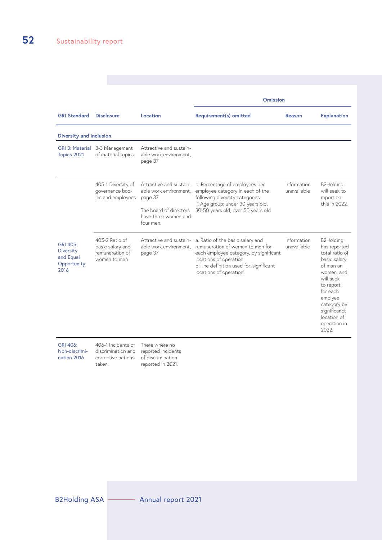|                                                                  |                                                                       |                                                                                                                             | <b>Omission</b>                                                                                                                                                                                                  |                            |                                                                                                                                                                                                                |  |  |
|------------------------------------------------------------------|-----------------------------------------------------------------------|-----------------------------------------------------------------------------------------------------------------------------|------------------------------------------------------------------------------------------------------------------------------------------------------------------------------------------------------------------|----------------------------|----------------------------------------------------------------------------------------------------------------------------------------------------------------------------------------------------------------|--|--|
| <b>GRI Standard</b>                                              | <b>Disclosure</b>                                                     | Location                                                                                                                    | Requirement(s) omitted                                                                                                                                                                                           | Reason                     | <b>Explanation</b>                                                                                                                                                                                             |  |  |
| Diversity and inclusion                                          |                                                                       |                                                                                                                             |                                                                                                                                                                                                                  |                            |                                                                                                                                                                                                                |  |  |
| Topics 2021                                                      | GRI 3: Material 3-3 Management<br>of material topics                  | Attractive and sustain-<br>able work environment,<br>page 37                                                                |                                                                                                                                                                                                                  |                            |                                                                                                                                                                                                                |  |  |
|                                                                  | 405-1 Diversity of<br>qovernance bod-<br>ies and employees            | Attractive and sustain-<br>able work environment.<br>page 37<br>The board of directors<br>have three women and<br>four men. | b. Percentage of employees per<br>employee category in each of the<br>following diversity categories:<br>ii. Age group: under 30 years old,<br>30-50 years old, over 50 years old                                | Information<br>unavailable | B2Holding<br>will seek to<br>report on<br>this in 2022.                                                                                                                                                        |  |  |
| GRI 405:<br><b>Diversity</b><br>and Equal<br>Opportunity<br>2016 | 405-2 Ratio of<br>basic salary and<br>remuneration of<br>women to men | Attractive and sustain-<br>able work environment,<br>page 37                                                                | a. Ratio of the basic salary and<br>remuneration of women to men for<br>each employee category, by significant<br>locations of operation.<br>b. The definition used for 'significant<br>locations of operation'. | Information<br>unavailable | B2Holding<br>has reported<br>total ratio of<br>basic salary<br>of man an<br>women, and<br>will seek<br>to report<br>for each<br>emplyee<br>category by<br>significanct<br>location of<br>operation in<br>2022. |  |  |

GRI 406: Non-discrimi406-1 Incidents of discrimination and

nation 2016 corrective actions of discrimination taken reported in 2021. There where no reported incidents

B2Holding ASA **Annual report 2021**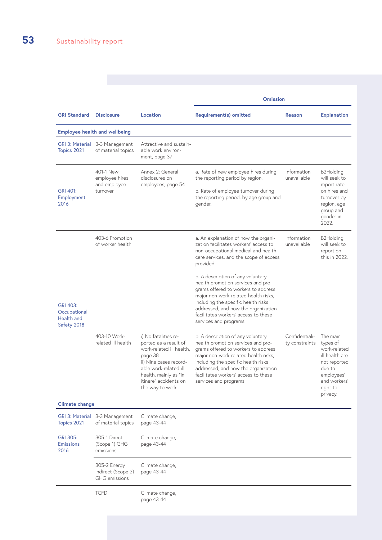|                                                              |                                                            |                                                                                                                                                                                                              | <b>Omission</b>                                                                                                                                                                                                                                                                                        |                                  |                                                                                                                                        |
|--------------------------------------------------------------|------------------------------------------------------------|--------------------------------------------------------------------------------------------------------------------------------------------------------------------------------------------------------------|--------------------------------------------------------------------------------------------------------------------------------------------------------------------------------------------------------------------------------------------------------------------------------------------------------|----------------------------------|----------------------------------------------------------------------------------------------------------------------------------------|
| <b>GRI Standard</b>                                          | <b>Disclosure</b>                                          | Location                                                                                                                                                                                                     | <b>Requirement(s) omitted</b>                                                                                                                                                                                                                                                                          | Reason                           | <b>Explanation</b>                                                                                                                     |
|                                                              | <b>Employee health and wellbeing</b>                       |                                                                                                                                                                                                              |                                                                                                                                                                                                                                                                                                        |                                  |                                                                                                                                        |
| Topics 2021                                                  | GRI 3: Material 3-3 Management<br>of material topics       | Attractive and sustain-<br>able work environ-<br>ment, page 37                                                                                                                                               |                                                                                                                                                                                                                                                                                                        |                                  |                                                                                                                                        |
| <b>GRI 401:</b><br>Employment<br>2016                        | 401-1 New<br>employee hires<br>and employee<br>turnover    | Annex 2: General<br>disclosures on<br>employees, page 54                                                                                                                                                     | a. Rate of new employee hires during<br>the reporting period by region.<br>b. Rate of employee turnover during<br>the reporting period, by age group and<br>gender.                                                                                                                                    | Information<br>unavailable       | B2Holding<br>will seek to<br>report rate<br>on hires and<br>turnover by<br>region, age<br>group and<br>gender in<br>2022.              |
|                                                              | 403-6 Promotion<br>of worker health                        |                                                                                                                                                                                                              | a. An explanation of how the organi-<br>zation facilitates workers' access to<br>non-occupational medical and health-<br>care services, and the scope of access<br>provided.                                                                                                                           | Information<br>unavailable       | B2Holding<br>will seek to<br>report on<br>this in 2022.                                                                                |
| <b>GRI 403:</b><br>Occupational<br>Health and<br>Safety 2018 |                                                            |                                                                                                                                                                                                              | b. A description of any voluntary<br>health promotion services and pro-<br>grams offered to workers to address<br>major non-work-related health risks,<br>including the specific health risks<br>addressed, and how the organization<br>facilitates workers' access to these<br>services and programs. |                                  |                                                                                                                                        |
|                                                              | 403-10 Work-<br>related ill health                         | i) No fatalities re-<br>ported as a result of<br>work-related ill health,<br>page 38<br>ii) Nine cases record-<br>able work-related ill<br>health, mainly as "in<br>itinere" accidents on<br>the way to work | b. A description of any voluntary<br>health promotion services and pro-<br>grams offered to workers to address<br>major non-work-related health risks,<br>including the specific health risks<br>addressed, and how the organization<br>facilitates workers' access to these<br>services and programs. | Confidentiali-<br>ty constraints | The main<br>types of<br>work-related<br>ill health are<br>not reported<br>due to<br>employees'<br>and workers'<br>right to<br>privacy. |
| Climate change                                               |                                                            |                                                                                                                                                                                                              |                                                                                                                                                                                                                                                                                                        |                                  |                                                                                                                                        |
| Topics 2021                                                  | GRI 3: Material 3-3 Management<br>of material topics       | Climate change,<br>page 43-44                                                                                                                                                                                |                                                                                                                                                                                                                                                                                                        |                                  |                                                                                                                                        |
| GRI 305:<br><b>Emissions</b><br>2016                         | 305-1 Direct<br>(Scope 1) GHG<br>emissions                 | Climate change,<br>page 43-44                                                                                                                                                                                |                                                                                                                                                                                                                                                                                                        |                                  |                                                                                                                                        |
|                                                              | 305-2 Energy<br>indirect (Scope 2)<br><b>GHG</b> emissions | Climate change,<br>page 43-44                                                                                                                                                                                |                                                                                                                                                                                                                                                                                                        |                                  |                                                                                                                                        |
|                                                              | <b>TCFD</b>                                                | Climate change,<br>page 43-44                                                                                                                                                                                |                                                                                                                                                                                                                                                                                                        |                                  |                                                                                                                                        |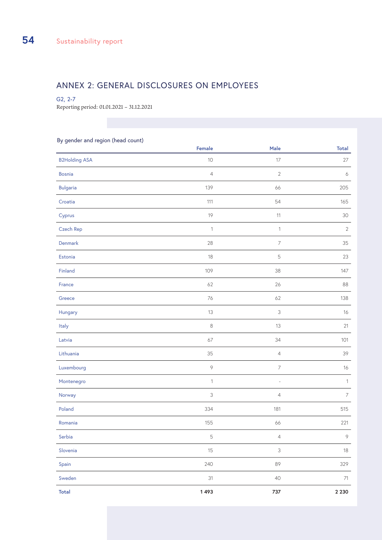### ANNEX 2: GENERAL DISCLOSURES ON EMPLOYEES

#### G2, 2-7

Reporting period: 01.01.2021 – 31.12.2021

#### By gender and region (head count)

| J J                  | Female                    | Male                     | <b>Total</b>     |
|----------------------|---------------------------|--------------------------|------------------|
| <b>B2Holding ASA</b> | $10$                      | $17\,$                   | $27\,$           |
| <b>Bosnia</b>        | $\overline{4}$            | $\sqrt{2}$               | $\boldsymbol{6}$ |
| <b>Bulgaria</b>      | 139                       | 66                       | 205              |
| Croatia              | 111                       | 54                       | 165              |
| Cyprus               | $19$                      | $11$                     | $30\,$           |
| Czech Rep            | $\mathbf{1}$              | $\mathbf{1}$             | $\sqrt{2}$       |
| Denmark              | 28                        | $\overline{\phantom{a}}$ | $35\,$           |
| Estonia              | $18\,$                    | 5                        | 23               |
| Finland              | 109                       | 38                       | 147              |
| France               | 62                        | 26                       | 88               |
| Greece               | 76                        | 62                       | 138              |
| Hungary              | 13                        | 3                        | $16\,$           |
| Italy                | $\,8\,$                   | 13                       | 21               |
| Latvia               | $67\,$                    | 34                       | 101              |
| Lithuania            | 35                        | $\overline{4}$           | 39               |
| Luxembourg           | $\, \varphi$              | $\overline{7}$           | $16$             |
| Montenegro           | $\ensuremath{\mathsf{1}}$ | $\frac{1}{2}$            | $\mathbf{1}$     |
| Norway               | $\mathfrak{Z}$            | 4                        | $\overline{7}$   |
| Poland               | 334                       | 181                      | 515              |
| Romania              | 155                       | 66                       | 221              |
| Serbia               | $\mathsf S$               | 4                        | $\, \varphi$     |
| Slovenia             | 15                        | $\mathsf 3$              | $18\,$           |
| Spain                | 240                       | 89                       | 329              |
| Sweden               | 31                        | 40                       | $71\,$           |
| <b>Total</b>         | 1493                      | 737                      | 2 2 3 0          |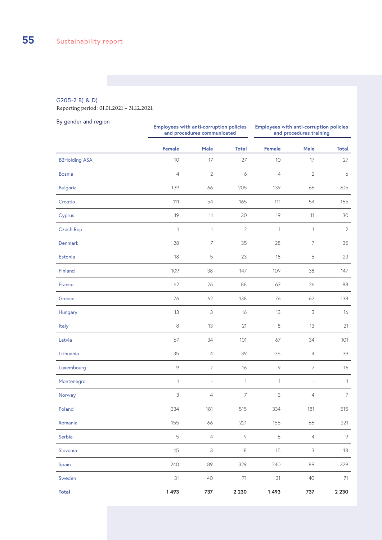#### G205-2 B) & D)

Reporting period: 01.01.2021 – 31.12.2021.

| By gender and region | Employees with anti-corruption policies | and procedures communicated | Employees with anti-corruption policies<br>and procedures training |               |                           |              |
|----------------------|-----------------------------------------|-----------------------------|--------------------------------------------------------------------|---------------|---------------------------|--------------|
|                      | <b>Female</b>                           | Male                        | <b>Total</b>                                                       | <b>Female</b> | Male                      | <b>Total</b> |
| <b>B2Holding ASA</b> | 10                                      | 17                          | 27                                                                 | 10            | 17                        | 27           |
| <b>Bosnia</b>        | $\overline{4}$                          | $\mathbf{2}$                | 6                                                                  | 4             | $\mathbf{2}$              | 6            |
| <b>Bulgaria</b>      | 139                                     | 66                          | 205                                                                | 139           | 66                        | 205          |
| Croatia              | 111                                     | 54                          | 165                                                                | 111           | 54                        | 165          |
| Cyprus               | 19                                      | 11                          | 30                                                                 | 19            | 11                        | 30           |
| Czech Rep            | 1                                       | $\mathbf{1}$                | 2                                                                  | $\mathbf 1$   | $\mathbf{1}$              | $\mathbf{2}$ |
| Denmark              | 28                                      | 7                           | 35                                                                 | 28            | $\overline{7}$            | 35           |
| Estonia              | 18                                      | $\mathbf 5$                 | 23                                                                 | 18            | 5                         | 23           |
| Finland              | 109                                     | 38                          | 147                                                                | 109           | 38                        | 147          |
| France               | 62                                      | 26                          | 88                                                                 | 62            | 26                        | 88           |
| Greece               | 76                                      | 62                          | 138                                                                | 76            | 62                        | 138          |
| Hungary              | 13                                      | 3                           | 16                                                                 | 13            | 3                         | 16           |
| Italy                | $\,8\,$                                 | 13                          | 21                                                                 | 8             | 13                        | 21           |
| Latvia               | 67                                      | 34                          | 101                                                                | 67            | 34                        | 101          |
| Lithuania            | 35                                      | $\sqrt{4}$                  | 39                                                                 | 35            | $\overline{4}$            | 39           |
| Luxembourg           | $\, \varphi$                            | 7                           | 16                                                                 | $\, \circ \,$ | 7                         | 16           |
| Montenegro           | 1                                       |                             | $\mathbf 1$                                                        | $\mathbf{1}$  |                           | $\mathbf{1}$ |
| Norway               | 3                                       | 4                           | 7                                                                  | 3             | 4                         | 7            |
| Poland               | 334                                     | 181                         | 515                                                                | 334           | 181                       | 515          |
| Romania              | 155                                     | 66                          | 221                                                                | 155           | 66                        | 221          |
| Serbia               | $\mathbf 5$                             | $\overline{4}$              | $\, \varphi$                                                       | $\mathbf 5$   | $\overline{4}$            | $\, \varphi$ |
| Slovenia             | 15                                      | $\ensuremath{\mathsf{3}}$   | 18                                                                 | 15            | $\ensuremath{\mathsf{3}}$ | 18           |
| Spain                | 240                                     | 89                          | 329                                                                | 240           | 89                        | 329          |
| Sweden               | 31                                      | $40\,$                      | $71\,$                                                             | 31            | 40                        | 71           |
| <b>Total</b>         | 1493                                    | 737                         | 2 2 3 0                                                            | 1493          | 737                       | 2 2 3 0      |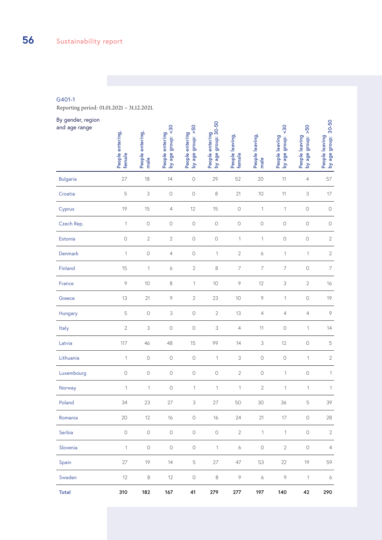#### G401-1

Reporting period: 01.01.2021 – 31.12.2021.

| By gender, region<br>and age range | People entering,<br>female | People entering,<br>male  | 50<br>People entering<br>by age group: <3 | People entering<br>by age group:  >50 | People entering<br>by age group: 30-50 | People leaving,<br>female | People leaving,<br>male | $\frac{30}{5}$<br>People leaving<br>by age group: < | 50 <sub>2</sub><br>People leaving<br>by age group: | People leaving<br>by age group:  30-50 |
|------------------------------------|----------------------------|---------------------------|-------------------------------------------|---------------------------------------|----------------------------------------|---------------------------|-------------------------|-----------------------------------------------------|----------------------------------------------------|----------------------------------------|
| <b>Bulgaria</b>                    | 27                         | 18                        | 14                                        | $\bigcirc$                            | 29                                     | 52                        | 20                      | 11                                                  | $\overline{4}$                                     | 57                                     |
| Croatia                            | 5                          | 3                         | $\bigcirc$                                | $\bigcirc$                            | $\,8\,$                                | 21                        | $10$                    | 11                                                  | 3                                                  | 17                                     |
| Cyprus                             | 19                         | 15                        | $\overline{4}$                            | 12                                    | 15                                     | $\bigcirc$                | $\mathbf{1}$            | $\mathbf{1}$                                        | $\bigcirc$                                         | $\bigcirc$                             |
| Czech Rep.                         | 1                          | $\circlearrowright$       | $\bigcirc$                                | $\bigcirc$                            | $\bigcirc$                             | $\bigcirc$                | $\bigcirc$              | $\bigcirc$                                          | $\circ$                                            | $\bigcirc$                             |
| Estonia                            | $\bigcirc$                 | $\mathbf{2}$              | $\mathbf{2}$                              | $\bigcirc$                            | $\bigcirc$                             | $\mathbf{1}$              | $\mathbf{1}$            | $\bigcirc$                                          | $\bigcirc$                                         | $\mathbf{2}$                           |
| Denmark                            | 1                          | $\bigcirc$                | $\overline{4}$                            | $\circ$                               | 1                                      | $\mathbf{2}$              | 6                       | 1                                                   | $\mathbf{1}$                                       | $\sqrt{2}$                             |
| Finland                            | 15                         | 1                         | 6                                         | $\mathbf{2}$                          | 8                                      | 7                         | $\overline{7}$          | $\overline{7}$                                      | $\circ$                                            | $\overline{\phantom{a}}$               |
| France                             | $\circ$                    | 10                        | 8                                         | $\mathbf{1}$                          | 10                                     | 9                         | 12                      | $\ensuremath{\mathsf{3}}$                           | $\overline{2}$                                     | 16                                     |
| Greece                             | 13                         | 21                        | $\, \varphi$                              | $\mathbf{2}$                          | 23                                     | 10                        | $\, \varphi$            | 1                                                   | $\circ$                                            | 19                                     |
| Hungary                            | 5                          | $\circ$                   | 3                                         | $\circlearrowright$                   | $\overline{2}$                         | 13                        | $\overline{4}$          | $\overline{4}$                                      | $\overline{4}$                                     | $\, \varphi$                           |
| Italy                              | $\sqrt{2}$                 | $\ensuremath{\mathsf{3}}$ | $\circ$                                   | $\circlearrowright$                   | 3                                      | 4                         | 11                      | $\circlearrowright$                                 | 1                                                  | 14                                     |
| Latvia                             | 117                        | 46                        | 48                                        | 15                                    | 99                                     | 14                        | 3                       | 12                                                  | $\circ$                                            | $\mathbf 5$                            |
| Lithuania                          | 1                          | $\circlearrowright$       | $\circ$                                   | $\circlearrowright$                   | $\mathbf{1}$                           | 3                         | $\circlearrowright$     | $\circlearrowright$                                 | $\mathbf{1}$                                       | $\sqrt{2}$                             |
| Luxembourg                         | $\circ$                    | $\circlearrowright$       | $\circ$                                   | $\circlearrowright$                   | $\circlearrowright$                    | $\overline{2}$            | $\circlearrowright$     | 1                                                   | $\circlearrowright$                                | $\mathbf{1}$                           |
| Norway                             | 1                          | 1                         | $\circ$                                   | 1                                     | 1                                      | $\mathbf{1}$              | $\sqrt{2}$              | $\mathbf{1}$                                        | 1                                                  | 1                                      |
| Poland                             | 34                         | 23                        | 27                                        | 3                                     | 27                                     | 50                        | 30                      | 36                                                  | 5                                                  | 39                                     |
| Romania                            | 20                         | 12                        | 16                                        | $\bigcirc$                            | 16                                     | 24                        | 21                      | 17                                                  | $\mathbb O$                                        | 28                                     |
| Serbia                             | $\bigcirc$                 | $\bigcirc$                | $\bigcirc$                                | $\bigcirc$                            | $\bigcirc$                             | $\overline{2}$            | $\mathbf{1}$            | $\mathbf{1}$                                        | $\circlearrowright$                                | $\overline{2}$                         |
| Slovenia                           | $\mathbf{1}$               | $\bigcirc$                | $\bigcirc$                                | $\bigcirc$                            | $\mathbf{1}$                           | $\boldsymbol{\delta}$     | $\bigcirc$              | $2\,$                                               | $\circlearrowright$                                | $\overline{4}$                         |
| Spain                              | 27                         | 19                        | 14                                        | 5                                     | 27                                     | 47                        | 53                      | 22                                                  | 19                                                 | 59                                     |
| Sweden                             | 12                         | $\,8\,$                   | 12                                        | $\bigcirc$                            | $\,8\,$                                | $\, \varphi$              | $\boldsymbol{\delta}$   | 9                                                   | $\mathbf{1}$                                       | 6                                      |
| <b>Total</b>                       | 310                        | 182                       | 167                                       | 41                                    | 279                                    | 277                       | 197                     | 140                                                 | 42                                                 | 290                                    |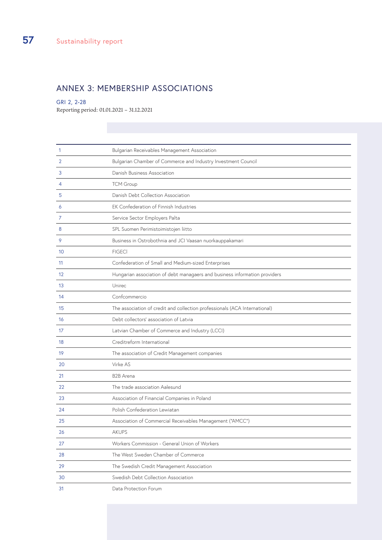### ANNEX 3: MEMBERSHIP ASSOCIATIONS

#### GRI 2, 2-28

Reporting period: 01.01.2021 – 31.12.2021

| 1  | Bulgarian Receivables Management Association                               |  |  |  |
|----|----------------------------------------------------------------------------|--|--|--|
| 2  | Bulgarian Chamber of Commerce and Industry Investment Council              |  |  |  |
| 3  | Danish Business Association                                                |  |  |  |
| 4  | <b>TCM Group</b>                                                           |  |  |  |
| 5  | Danish Debt Collection Association                                         |  |  |  |
| 6  | EK Confederation of Finnish Industries                                     |  |  |  |
| 7  | Service Sector Employers Palta                                             |  |  |  |
| 8  | SPL Suomen Perimistoimistojen liitto                                       |  |  |  |
| 9  | Business in Ostrobothnia and JCI Vaasan nuorkauppakamari                   |  |  |  |
| 10 | <b>FIGECI</b>                                                              |  |  |  |
| 11 | Confederation of Small and Medium-sized Enterprises                        |  |  |  |
| 12 | Hungarian association of debt managaers and business information providers |  |  |  |
| 13 | Unirec                                                                     |  |  |  |
| 14 | Confcommercio                                                              |  |  |  |
| 15 | The association of credit and collection professionals (ACA International) |  |  |  |
| 16 | Debt collectors' association of Latvia                                     |  |  |  |
| 17 | Latvian Chamber of Commerce and Industry (LCCI)                            |  |  |  |
| 18 | Creditreform International                                                 |  |  |  |
| 19 | The association of Credit Management companies                             |  |  |  |
| 20 | Virke AS                                                                   |  |  |  |
| 21 | <b>B2B</b> Arena                                                           |  |  |  |
| 22 | The trade association Aalesund                                             |  |  |  |
| 23 | Association of Financial Companies in Poland                               |  |  |  |
| 24 | Polish Confederation Lewiatan                                              |  |  |  |
| 25 | Association of Commercial Receivables Management ("AMCC")                  |  |  |  |
| 26 | <b>AKUPS</b>                                                               |  |  |  |
| 27 | Workers Commission - General Union of Workers                              |  |  |  |
| 28 | The West Sweden Chamber of Commerce                                        |  |  |  |
| 29 | The Swedish Credit Management Association                                  |  |  |  |
| 30 | Swedish Debt Collection Association                                        |  |  |  |
| 31 | Data Protection Forum                                                      |  |  |  |
|    |                                                                            |  |  |  |